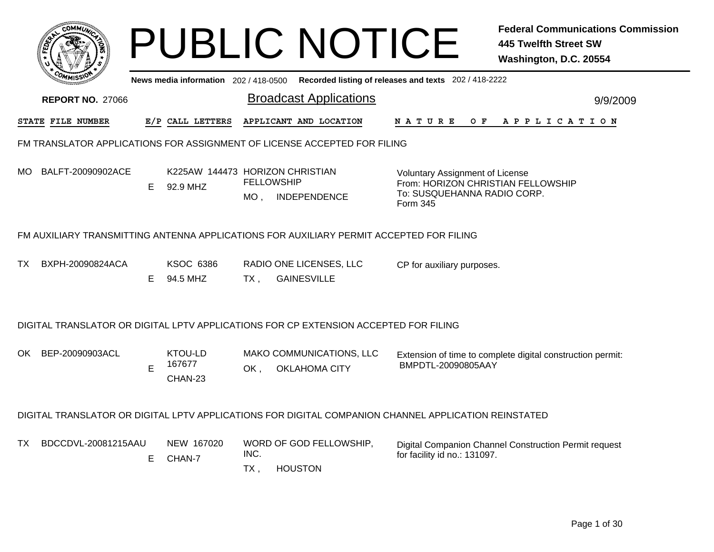|     |                                                                                         |    |                                             |                | <b>PUBLIC NOTICE</b>                                                                                 |                                                                                   |     | <b>Federal Communications Commission</b><br><b>445 Twelfth Street SW</b><br>Washington, D.C. 20554 |  |  |  |
|-----|-----------------------------------------------------------------------------------------|----|---------------------------------------------|----------------|------------------------------------------------------------------------------------------------------|-----------------------------------------------------------------------------------|-----|----------------------------------------------------------------------------------------------------|--|--|--|
|     |                                                                                         |    | News media information 202 / 418-0500       |                | Recorded listing of releases and texts 202 / 418-2222                                                |                                                                                   |     |                                                                                                    |  |  |  |
|     | <b>REPORT NO. 27066</b>                                                                 |    |                                             |                | <b>Broadcast Applications</b>                                                                        |                                                                                   |     | 9/9/2009                                                                                           |  |  |  |
|     | STATE FILE NUMBER                                                                       |    | E/P CALL LETTERS                            |                | APPLICANT AND LOCATION                                                                               | N A T U R E                                                                       | O F | A P P L I C A T I O N                                                                              |  |  |  |
|     | FM TRANSLATOR APPLICATIONS FOR ASSIGNMENT OF LICENSE ACCEPTED FOR FILING                |    |                                             |                |                                                                                                      |                                                                                   |     |                                                                                                    |  |  |  |
| MO. | BALFT-20090902ACE                                                                       | Е  | K225AW 144473 HORIZON CHRISTIAN<br>92.9 MHZ | MO ,           | <b>FELLOWSHIP</b><br>INDEPENDENCE                                                                    | <b>Voluntary Assignment of License</b><br>To: SUSQUEHANNA RADIO CORP.<br>Form 345 |     | From: HORIZON CHRISTIAN FELLOWSHIP                                                                 |  |  |  |
|     | FM AUXILIARY TRANSMITTING ANTENNA APPLICATIONS FOR AUXILIARY PERMIT ACCEPTED FOR FILING |    |                                             |                |                                                                                                      |                                                                                   |     |                                                                                                    |  |  |  |
| TX. | BXPH-20090824ACA                                                                        | E  | <b>KSOC 6386</b><br>94.5 MHZ                | $TX$ ,         | RADIO ONE LICENSES, LLC<br><b>GAINESVILLE</b>                                                        | CP for auxiliary purposes.                                                        |     |                                                                                                    |  |  |  |
|     |                                                                                         |    |                                             |                | DIGITAL TRANSLATOR OR DIGITAL LPTV APPLICATIONS FOR CP EXTENSION ACCEPTED FOR FILING                 |                                                                                   |     |                                                                                                    |  |  |  |
| OK. | BEP-20090903ACL                                                                         | E  | KTOU-LD<br>167677<br>CHAN-23                | OK.            | MAKO COMMUNICATIONS, LLC<br><b>OKLAHOMA CITY</b>                                                     | BMPDTL-20090805AAY                                                                |     | Extension of time to complete digital construction permit:                                         |  |  |  |
|     |                                                                                         |    |                                             |                | DIGITAL TRANSLATOR OR DIGITAL LPTV APPLICATIONS FOR DIGITAL COMPANION CHANNEL APPLICATION REINSTATED |                                                                                   |     |                                                                                                    |  |  |  |
| TX. | BDCCDVL-20081215AAU                                                                     | E. | NEW 167020<br>CHAN-7                        | INC.<br>$TX$ , | WORD OF GOD FELLOWSHIP,<br><b>HOUSTON</b>                                                            | for facility id no.: 131097.                                                      |     | Digital Companion Channel Construction Permit request                                              |  |  |  |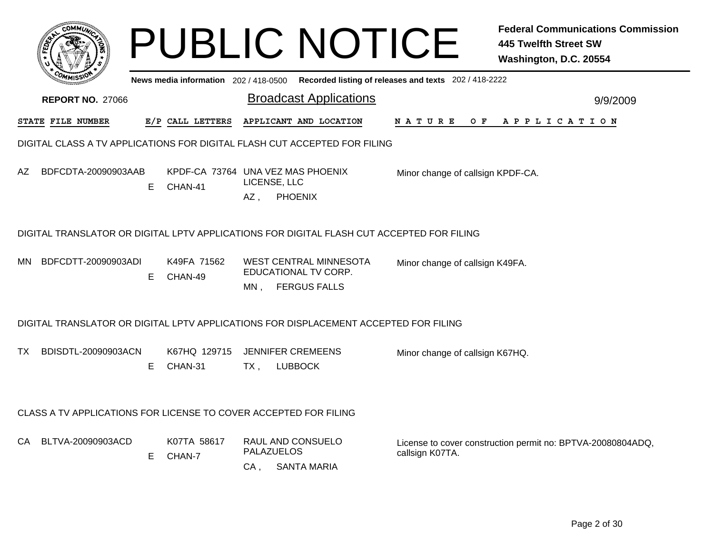|                                                                                           |                                                                           |                                              |                                 | <b>PUBLIC NOTICE</b>                                                         |                                                       | <b>Federal Communications Commission</b><br>445 Twelfth Street SW<br>Washington, D.C. 20554 |  |  |  |  |
|-------------------------------------------------------------------------------------------|---------------------------------------------------------------------------|----------------------------------------------|---------------------------------|------------------------------------------------------------------------------|-------------------------------------------------------|---------------------------------------------------------------------------------------------|--|--|--|--|
|                                                                                           |                                                                           | News media information 202/418-0500          |                                 |                                                                              | Recorded listing of releases and texts 202 / 418-2222 |                                                                                             |  |  |  |  |
| <b>REPORT NO. 27066</b>                                                                   |                                                                           |                                              |                                 | <b>Broadcast Applications</b>                                                |                                                       | 9/9/2009                                                                                    |  |  |  |  |
| STATE FILE NUMBER                                                                         |                                                                           | E/P CALL LETTERS                             |                                 | APPLICANT AND LOCATION                                                       | N A T U R E<br>O F                                    | A P P L I C A T I O N                                                                       |  |  |  |  |
|                                                                                           | DIGITAL CLASS A TV APPLICATIONS FOR DIGITAL FLASH CUT ACCEPTED FOR FILING |                                              |                                 |                                                                              |                                                       |                                                                                             |  |  |  |  |
| BDFCDTA-20090903AAB<br>AZ.                                                                | Е                                                                         | KPDF-CA 73764 UNA VEZ MAS PHOENIX<br>CHAN-41 | LICENSE, LLC<br>AZ,             | <b>PHOENIX</b>                                                               | Minor change of callsign KPDF-CA.                     |                                                                                             |  |  |  |  |
| DIGITAL TRANSLATOR OR DIGITAL LPTV APPLICATIONS FOR DIGITAL FLASH CUT ACCEPTED FOR FILING |                                                                           |                                              |                                 |                                                                              |                                                       |                                                                                             |  |  |  |  |
| BDFCDTT-20090903ADI<br>MN.                                                                | Е                                                                         | K49FA 71562<br>CHAN-49                       | MN,                             | <b>WEST CENTRAL MINNESOTA</b><br>EDUCATIONAL TV CORP.<br><b>FERGUS FALLS</b> | Minor change of callsign K49FA.                       |                                                                                             |  |  |  |  |
| DIGITAL TRANSLATOR OR DIGITAL LPTV APPLICATIONS FOR DISPLACEMENT ACCEPTED FOR FILING      |                                                                           |                                              |                                 |                                                                              |                                                       |                                                                                             |  |  |  |  |
| BDISDTL-20090903ACN<br>TX.                                                                | E.                                                                        | K67HQ 129715<br>CHAN-31                      | <b>JENNIFER CREMEENS</b><br>TX, | <b>LUBBOCK</b>                                                               | Minor change of callsign K67HQ.                       |                                                                                             |  |  |  |  |
| CLASS A TV APPLICATIONS FOR LICENSE TO COVER ACCEPTED FOR FILING                          |                                                                           |                                              |                                 |                                                                              |                                                       |                                                                                             |  |  |  |  |
| BLTVA-20090903ACD<br>CA.                                                                  | E.                                                                        | K07TA 58617<br>CHAN-7                        | <b>PALAZUELOS</b><br>CA,        | RAUL AND CONSUELO<br><b>SANTA MARIA</b>                                      | callsign K07TA.                                       | License to cover construction permit no: BPTVA-20080804ADQ,                                 |  |  |  |  |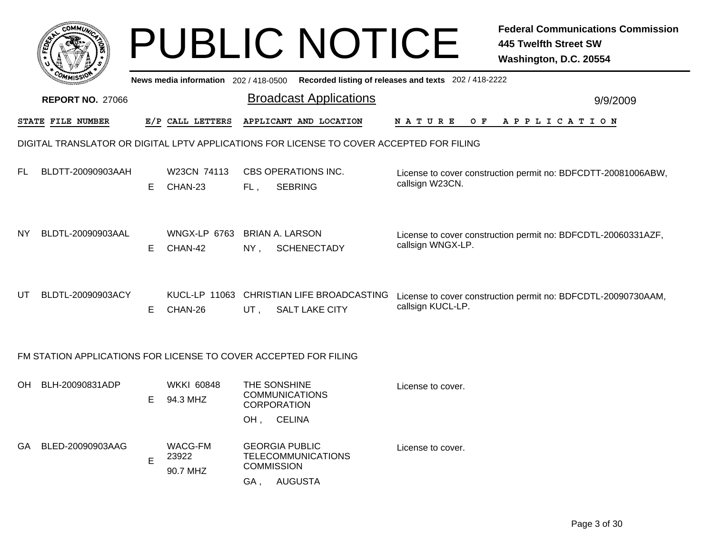|    |                                                                  |    |                                     |        | <b>PUBLIC NOTICE</b>                                                                     | <b>Federal Communications Commission</b><br><b>445 Twelfth Street SW</b><br>Washington, D.C. 20554 |  |  |
|----|------------------------------------------------------------------|----|-------------------------------------|--------|------------------------------------------------------------------------------------------|----------------------------------------------------------------------------------------------------|--|--|
|    |                                                                  |    | News media information 202/418-0500 |        |                                                                                          | Recorded listing of releases and texts 202 / 418-2222                                              |  |  |
|    | <b>REPORT NO. 27066</b>                                          |    |                                     |        | <b>Broadcast Applications</b>                                                            | 9/9/2009                                                                                           |  |  |
|    | <b>STATE FILE NUMBER</b>                                         |    | E/P CALL LETTERS                    |        | APPLICANT AND LOCATION                                                                   | A P P L I C A T I O N<br>N A T U R E<br>O F                                                        |  |  |
|    |                                                                  |    |                                     |        | DIGITAL TRANSLATOR OR DIGITAL LPTV APPLICATIONS FOR LICENSE TO COVER ACCEPTED FOR FILING |                                                                                                    |  |  |
| FL | BLDTT-20090903AAH                                                | Е. | W23CN 74113<br>CHAN-23              | FL,    | <b>CBS OPERATIONS INC.</b><br><b>SEBRING</b>                                             | License to cover construction permit no: BDFCDTT-20081006ABW,<br>callsign W23CN.                   |  |  |
| NY | BLDTL-20090903AAL                                                | Е. | <b>WNGX-LP 6763</b><br>CHAN-42      | NY,    | <b>BRIAN A. LARSON</b><br><b>SCHENECTADY</b>                                             | License to cover construction permit no: BDFCDTL-20060331AZF,<br>callsign WNGX-LP.                 |  |  |
| UT | BLDTL-20090903ACY                                                | E. | CHAN-26                             | $UT$ , | KUCL-LP 11063 CHRISTIAN LIFE BROADCASTING<br><b>SALT LAKE CITY</b>                       | License to cover construction permit no: BDFCDTL-20090730AAM,<br>callsign KUCL-LP.                 |  |  |
|    | FM STATION APPLICATIONS FOR LICENSE TO COVER ACCEPTED FOR FILING |    |                                     |        |                                                                                          |                                                                                                    |  |  |
| OH | BLH-20090831ADP                                                  | E. | <b>WKKI 60848</b><br>94.3 MHZ       |        | THE SONSHINE<br><b>COMMUNICATIONS</b><br><b>CORPORATION</b>                              | License to cover.                                                                                  |  |  |
|    |                                                                  |    |                                     |        | OH, CELINA                                                                               |                                                                                                    |  |  |
| GA | BLED-20090903AAG                                                 | E  | <b>WACG-FM</b><br>23922<br>90.7 MHZ |        | <b>GEORGIA PUBLIC</b><br><b>TELECOMMUNICATIONS</b><br><b>COMMISSION</b><br>GA, AUGUSTA   | License to cover.                                                                                  |  |  |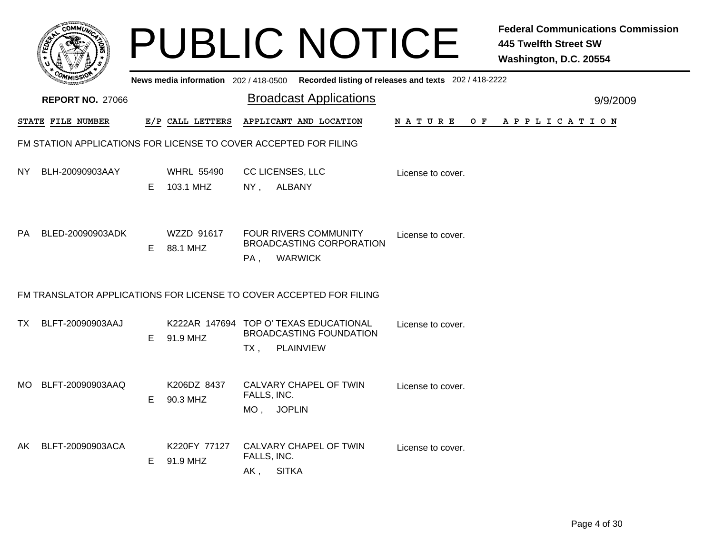|     |                                                                  |    |                                       |                    | <b>PUBLIC NOTICE</b>                                                                         |                                                       | <b>Federal Communications Commission</b><br><b>445 Twelfth Street SW</b><br>Washington, D.C. 20554 |
|-----|------------------------------------------------------------------|----|---------------------------------------|--------------------|----------------------------------------------------------------------------------------------|-------------------------------------------------------|----------------------------------------------------------------------------------------------------|
|     |                                                                  |    | News media information 202 / 418-0500 |                    |                                                                                              | Recorded listing of releases and texts 202 / 418-2222 |                                                                                                    |
|     | <b>REPORT NO. 27066</b>                                          |    |                                       |                    | <b>Broadcast Applications</b>                                                                |                                                       | 9/9/2009                                                                                           |
|     | STATE FILE NUMBER                                                |    | E/P CALL LETTERS                      |                    | APPLICANT AND LOCATION                                                                       | N A T U R E<br>O F                                    | A P P L I C A T I O N                                                                              |
|     | FM STATION APPLICATIONS FOR LICENSE TO COVER ACCEPTED FOR FILING |    |                                       |                    |                                                                                              |                                                       |                                                                                                    |
| NY. | BLH-20090903AAY                                                  | E. | <b>WHRL 55490</b><br>103.1 MHZ        | $NY$ ,             | CC LICENSES, LLC<br><b>ALBANY</b>                                                            | License to cover.                                     |                                                                                                    |
| PA. | BLED-20090903ADK                                                 | E. | WZZD 91617<br>88.1 MHZ                | PA,                | <b>FOUR RIVERS COMMUNITY</b><br>BROADCASTING CORPORATION<br><b>WARWICK</b>                   | License to cover.                                     |                                                                                                    |
|     |                                                                  |    |                                       |                    | FM TRANSLATOR APPLICATIONS FOR LICENSE TO COVER ACCEPTED FOR FILING                          |                                                       |                                                                                                    |
| TX. | BLFT-20090903AAJ                                                 | E. | 91.9 MHZ                              | TX,                | K222AR 147694 TOP O' TEXAS EDUCATIONAL<br><b>BROADCASTING FOUNDATION</b><br><b>PLAINVIEW</b> | License to cover.                                     |                                                                                                    |
| MO. | BLFT-20090903AAQ                                                 | E. | K206DZ 8437<br>90.3 MHZ               | FALLS, INC.        | CALVARY CHAPEL OF TWIN<br>MO, JOPLIN                                                         | License to cover.                                     |                                                                                                    |
| AK. | BLFT-20090903ACA                                                 | E. | K220FY 77127<br>91.9 MHZ              | FALLS, INC.<br>AK, | CALVARY CHAPEL OF TWIN<br><b>SITKA</b>                                                       | License to cover.                                     |                                                                                                    |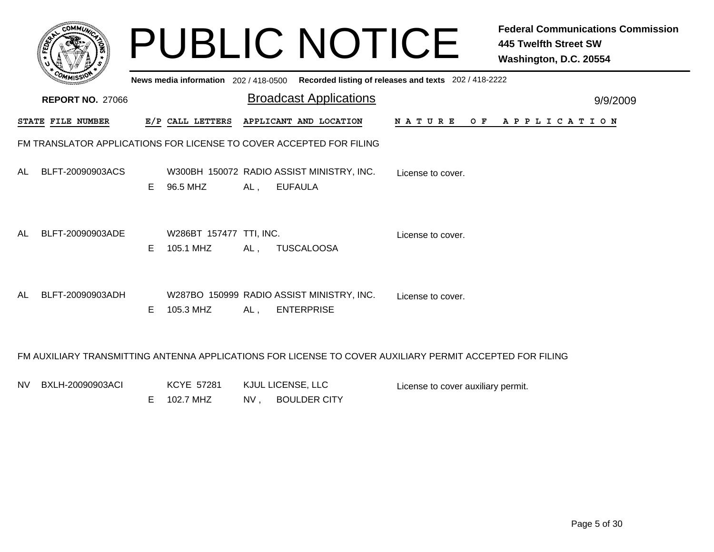|    |                          |    |                                      |     | <b>PUBLIC NOTICE</b>                                                                                     |                                                       | <b>Federal Communications Commission</b><br><b>445 Twelfth Street SW</b><br>Washington, D.C. 20554 |
|----|--------------------------|----|--------------------------------------|-----|----------------------------------------------------------------------------------------------------------|-------------------------------------------------------|----------------------------------------------------------------------------------------------------|
|    |                          |    | News media information 202/418-0500  |     |                                                                                                          | Recorded listing of releases and texts 202 / 418-2222 |                                                                                                    |
|    | <b>REPORT NO. 27066</b>  |    |                                      |     | <b>Broadcast Applications</b>                                                                            |                                                       | 9/9/2009                                                                                           |
|    | <b>STATE FILE NUMBER</b> |    | E/P CALL LETTERS                     |     | APPLICANT AND LOCATION                                                                                   |                                                       | NATURE OF APPLICATION                                                                              |
|    |                          |    |                                      |     | FM TRANSLATOR APPLICATIONS FOR LICENSE TO COVER ACCEPTED FOR FILING                                      |                                                       |                                                                                                    |
| AL | BLFT-20090903ACS         | E. | 96.5 MHZ                             | AL, | W300BH 150072 RADIO ASSIST MINISTRY, INC.<br><b>EUFAULA</b>                                              | License to cover.                                     |                                                                                                    |
| AL | BLFT-20090903ADE         | E  | W286BT 157477 TTI, INC.<br>105.1 MHZ | AL, | <b>TUSCALOOSA</b>                                                                                        | License to cover.                                     |                                                                                                    |
| AL | BLFT-20090903ADH         | E. | 105.3 MHZ                            | AL, | W287BO 150999 RADIO ASSIST MINISTRY, INC.<br><b>ENTERPRISE</b>                                           | License to cover.                                     |                                                                                                    |
|    |                          |    |                                      |     | FM AUXILIARY TRANSMITTING ANTENNA APPLICATIONS FOR LICENSE TO COVER AUXILIARY PERMIT ACCEPTED FOR FILING |                                                       |                                                                                                    |
|    | NV BXLH-20090903ACI      |    | <b>KCYE 57281</b>                    |     | KJUL LICENSE, LLC                                                                                        | License to cover auxiliary permit.                    |                                                                                                    |

NV , BOULDER CITY E102.7 MHZ

License to cover auxiliary permit.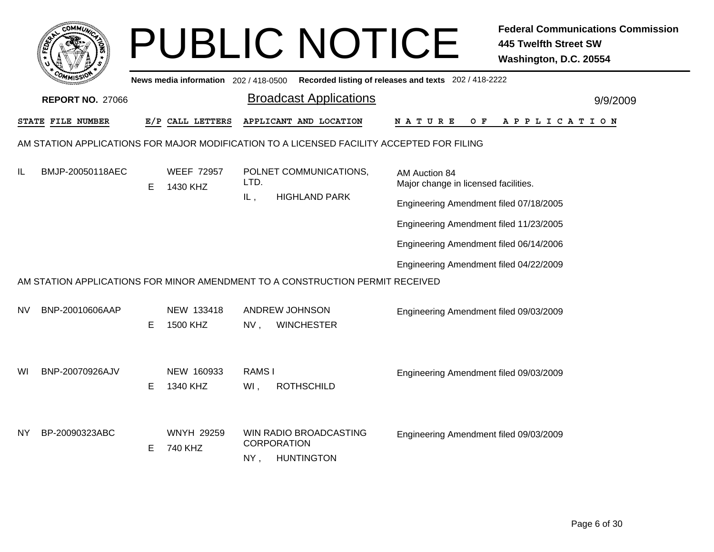|                                                                                           | <b>COMMI</b>            |   |                                     |                                | <b>PUBLIC NOTICE</b>                                                          |                                        | <b>Federal Communications Commission</b><br><b>445 Twelfth Street SW</b><br>Washington, D.C. 20554 |  |  |  |
|-------------------------------------------------------------------------------------------|-------------------------|---|-------------------------------------|--------------------------------|-------------------------------------------------------------------------------|----------------------------------------|----------------------------------------------------------------------------------------------------|--|--|--|
|                                                                                           |                         |   | News media information 202/418-0500 |                                | Recorded listing of releases and texts 202 / 418-2222                         |                                        |                                                                                                    |  |  |  |
|                                                                                           | <b>REPORT NO. 27066</b> |   |                                     |                                | <b>Broadcast Applications</b>                                                 |                                        | 9/9/2009                                                                                           |  |  |  |
|                                                                                           | STATE FILE NUMBER       |   | E/P CALL LETTERS                    |                                | APPLICANT AND LOCATION                                                        | N A T U R E<br>O F                     | A P P L I C A T I O N                                                                              |  |  |  |
| AM STATION APPLICATIONS FOR MAJOR MODIFICATION TO A LICENSED FACILITY ACCEPTED FOR FILING |                         |   |                                     |                                |                                                                               |                                        |                                                                                                    |  |  |  |
| IL                                                                                        | BMJP-20050118AEC        | E | <b>WEEF 72957</b><br>1430 KHZ       | POLNET COMMUNICATIONS,<br>LTD. | AM Auction 84<br>Major change in licensed facilities.                         |                                        |                                                                                                    |  |  |  |
|                                                                                           |                         |   |                                     | IL,                            | <b>HIGHLAND PARK</b>                                                          | Engineering Amendment filed 07/18/2005 |                                                                                                    |  |  |  |
|                                                                                           |                         |   |                                     |                                |                                                                               | Engineering Amendment filed 11/23/2005 |                                                                                                    |  |  |  |
|                                                                                           |                         |   |                                     |                                |                                                                               | Engineering Amendment filed 06/14/2006 |                                                                                                    |  |  |  |
|                                                                                           |                         |   |                                     |                                |                                                                               | Engineering Amendment filed 04/22/2009 |                                                                                                    |  |  |  |
|                                                                                           |                         |   |                                     |                                | AM STATION APPLICATIONS FOR MINOR AMENDMENT TO A CONSTRUCTION PERMIT RECEIVED |                                        |                                                                                                    |  |  |  |
| NV.                                                                                       | BNP-20010606AAP         | Е | NEW 133418<br>1500 KHZ              | NV,                            | ANDREW JOHNSON<br><b>WINCHESTER</b>                                           | Engineering Amendment filed 09/03/2009 |                                                                                                    |  |  |  |
| WI                                                                                        | BNP-20070926AJV         | Е | NEW 160933<br>1340 KHZ              | RAMS I<br>WI,                  | <b>ROTHSCHILD</b>                                                             | Engineering Amendment filed 09/03/2009 |                                                                                                    |  |  |  |
| ΝY                                                                                        | BP-20090323ABC          | Е | <b>WNYH 29259</b><br>740 KHZ        | $NY$ ,                         | WIN RADIO BROADCASTING<br><b>CORPORATION</b><br><b>HUNTINGTON</b>             | Engineering Amendment filed 09/03/2009 |                                                                                                    |  |  |  |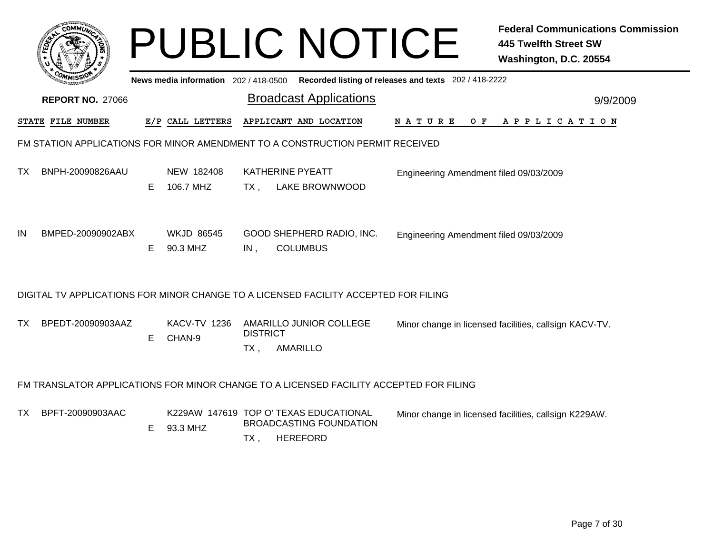|      |                         |    |                                       |                           | <b>PUBLIC NOTICE</b>                                                                        |                                                       | <b>Federal Communications Commission</b><br><b>445 Twelfth Street SW</b><br>Washington, D.C. 20554 |
|------|-------------------------|----|---------------------------------------|---------------------------|---------------------------------------------------------------------------------------------|-------------------------------------------------------|----------------------------------------------------------------------------------------------------|
|      |                         |    | News media information 202 / 418-0500 |                           |                                                                                             | Recorded listing of releases and texts 202 / 418-2222 |                                                                                                    |
|      | <b>REPORT NO. 27066</b> |    |                                       |                           | <b>Broadcast Applications</b>                                                               |                                                       | 9/9/2009                                                                                           |
|      | STATE FILE NUMBER       |    | E/P CALL LETTERS                      |                           | APPLICANT AND LOCATION                                                                      | <b>NATURE</b><br>O F                                  | A P P L I C A T I O N                                                                              |
|      |                         |    |                                       |                           | FM STATION APPLICATIONS FOR MINOR AMENDMENT TO A CONSTRUCTION PERMIT RECEIVED               |                                                       |                                                                                                    |
| TX   | BNPH-20090826AAU        | E. | NEW 182408<br>106.7 MHZ               | $TX_{\cdot}$              | KATHERINE PYEATT<br><b>LAKE BROWNWOOD</b>                                                   | Engineering Amendment filed 09/03/2009                |                                                                                                    |
| IN   | BMPED-20090902ABX       | E. | <b>WKJD 86545</b><br>90.3 MHZ         | IN,                       | GOOD SHEPHERD RADIO, INC.<br><b>COLUMBUS</b>                                                | Engineering Amendment filed 09/03/2009                |                                                                                                    |
|      |                         |    |                                       |                           | DIGITAL TV APPLICATIONS FOR MINOR CHANGE TO A LICENSED FACILITY ACCEPTED FOR FILING         |                                                       |                                                                                                    |
| TX . | BPEDT-20090903AAZ       | E  | <b>KACV-TV 1236</b><br>CHAN-9         | <b>DISTRICT</b><br>$TX$ , | AMARILLO JUNIOR COLLEGE<br>AMARILLO                                                         |                                                       | Minor change in licensed facilities, callsign KACV-TV.                                             |
|      |                         |    |                                       |                           | FM TRANSLATOR APPLICATIONS FOR MINOR CHANGE TO A LICENSED FACILITY ACCEPTED FOR FILING      |                                                       |                                                                                                    |
| TX I | BPFT-20090903AAC        | E  | 93.3 MHZ                              | TX,                       | K229AW 147619 TOP O' TEXAS EDUCATIONAL<br><b>BROADCASTING FOUNDATION</b><br><b>HEREFORD</b> |                                                       | Minor change in licensed facilities, callsign K229AW.                                              |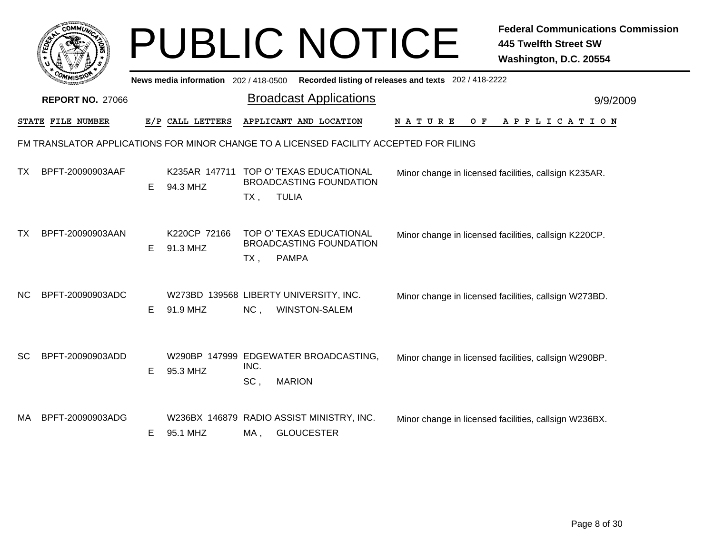|           | <b>COMMUN</b>           |    |                                       |             | <b>PUBLIC NOTICE</b>                                                                     |                                                       | <b>Federal Communications Commission</b><br>445 Twelfth Street SW<br>Washington, D.C. 20554 |
|-----------|-------------------------|----|---------------------------------------|-------------|------------------------------------------------------------------------------------------|-------------------------------------------------------|---------------------------------------------------------------------------------------------|
|           |                         |    | News media information 202 / 418-0500 |             |                                                                                          | Recorded listing of releases and texts 202 / 418-2222 |                                                                                             |
|           | <b>REPORT NO. 27066</b> |    |                                       |             | <b>Broadcast Applications</b>                                                            |                                                       | 9/9/2009                                                                                    |
|           | STATE FILE NUMBER       |    | E/P CALL LETTERS                      |             | APPLICANT AND LOCATION                                                                   | N A T U R E<br>O F                                    | A P P L I C A T I O N                                                                       |
|           |                         |    |                                       |             | FM TRANSLATOR APPLICATIONS FOR MINOR CHANGE TO A LICENSED FACILITY ACCEPTED FOR FILING   |                                                       |                                                                                             |
| <b>TX</b> | BPFT-20090903AAF        | E. | 94.3 MHZ                              | TX,         | K235AR 147711 TOP O' TEXAS EDUCATIONAL<br><b>BROADCASTING FOUNDATION</b><br><b>TULIA</b> |                                                       | Minor change in licensed facilities, callsign K235AR.                                       |
| ТX        | BPFT-20090903AAN        | E. | K220CP 72166<br>91.3 MHZ              | TX,         | TOP O' TEXAS EDUCATIONAL<br><b>BROADCASTING FOUNDATION</b><br><b>PAMPA</b>               |                                                       | Minor change in licensed facilities, callsign K220CP.                                       |
| NС        | BPFT-20090903ADC        | E. | 91.9 MHZ                              | NC,         | W273BD 139568 LIBERTY UNIVERSITY, INC.<br><b>WINSTON-SALEM</b>                           |                                                       | Minor change in licensed facilities, callsign W273BD.                                       |
| SC        | BPFT-20090903ADD        | E  | 95.3 MHZ                              | INC.<br>SC. | W290BP 147999 EDGEWATER BROADCASTING,<br><b>MARION</b>                                   |                                                       | Minor change in licensed facilities, callsign W290BP.                                       |
| MA.       | BPFT-20090903ADG        | E. | 95.1 MHZ                              | MA,         | W236BX 146879 RADIO ASSIST MINISTRY, INC.<br><b>GLOUCESTER</b>                           |                                                       | Minor change in licensed facilities, callsign W236BX.                                       |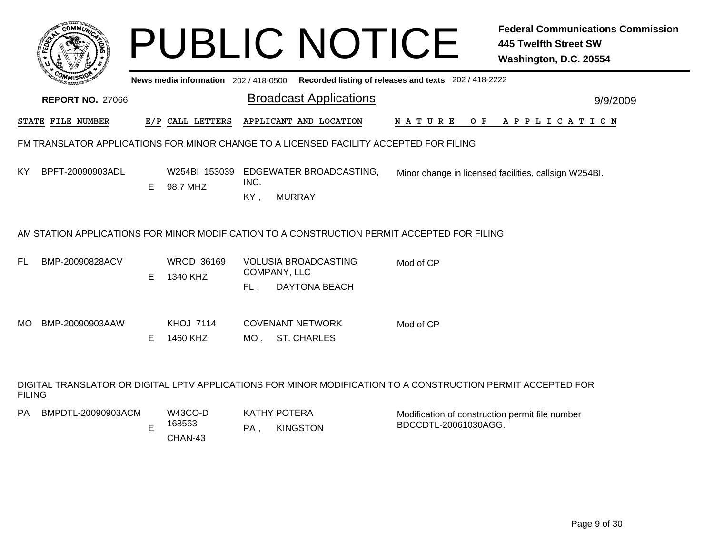|     | сомми                   |    |                                       | <b>PUBLIC NOTICE</b>                                                                        |                                                       | <b>Federal Communications Commission</b><br><b>445 Twelfth Street SW</b><br>Washington, D.C. 20554 |
|-----|-------------------------|----|---------------------------------------|---------------------------------------------------------------------------------------------|-------------------------------------------------------|----------------------------------------------------------------------------------------------------|
|     | <b>REPORT NO. 27066</b> |    | News media information 202 / 418-0500 | <b>Broadcast Applications</b>                                                               | Recorded listing of releases and texts 202 / 418-2222 |                                                                                                    |
|     |                         |    |                                       |                                                                                             |                                                       | 9/9/2009                                                                                           |
|     | STATE FILE NUMBER       |    | E/P CALL LETTERS                      | APPLICANT AND LOCATION                                                                      | N A T U R E                                           | OF APPLICATION                                                                                     |
|     |                         |    |                                       | FM TRANSLATOR APPLICATIONS FOR MINOR CHANGE TO A LICENSED FACILITY ACCEPTED FOR FILING      |                                                       |                                                                                                    |
| KY. | BPFT-20090903ADL        | E. | W254BI 153039<br>98.7 MHZ             | EDGEWATER BROADCASTING,<br>INC.<br><b>MURRAY</b><br>KY,                                     |                                                       | Minor change in licensed facilities, callsign W254BI.                                              |
|     |                         |    |                                       | AM STATION APPLICATIONS FOR MINOR MODIFICATION TO A CONSTRUCTION PERMIT ACCEPTED FOR FILING |                                                       |                                                                                                    |
| FL. | BMP-20090828ACV         | E  | <b>WROD 36169</b><br>1340 KHZ         | <b>VOLUSIA BROADCASTING</b><br>COMPANY, LLC<br><b>DAYTONA BEACH</b><br>FL,                  | Mod of CP                                             |                                                                                                    |
| MO. | BMP-20090903AAW         | E. | <b>KHOJ 7114</b><br>1460 KHZ          | <b>COVENANT NETWORK</b><br><b>ST. CHARLES</b><br>MO ,                                       | Mod of CP                                             |                                                                                                    |

DIGITAL TRANSLATOR OR DIGITAL LPTV APPLICATIONS FOR MINOR MODIFICATION TO A CONSTRUCTION PERMIT ACCEPTED FORFILING

PA KATHY POTERA BMPDTL-20090903ACM

W43CO-D168563 E

CHAN-43

PA, , KINGSTON Modification of construction permit file number BDCCDTL-20061030AGG.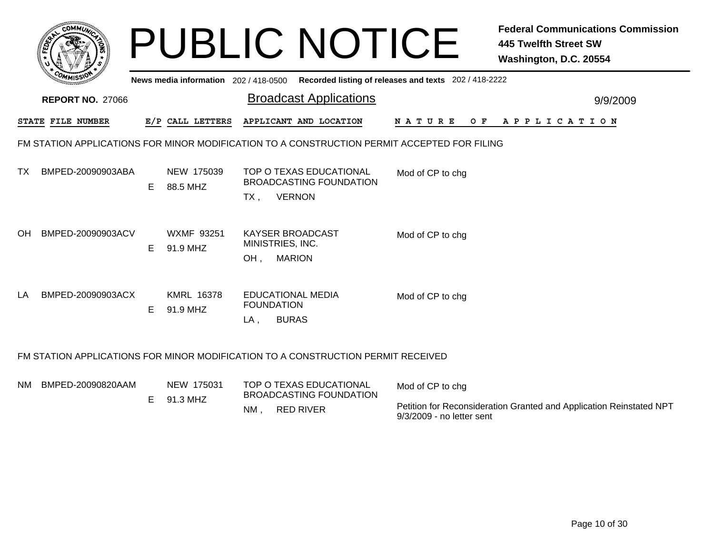|     | <b>COMMUT</b>           |    |                                       | <b>PUBLIC NOTICE</b>                                                                        |                                                       | <b>Federal Communications Commission</b><br><b>445 Twelfth Street SW</b><br>Washington, D.C. 20554 |
|-----|-------------------------|----|---------------------------------------|---------------------------------------------------------------------------------------------|-------------------------------------------------------|----------------------------------------------------------------------------------------------------|
|     | <b>REPORT NO. 27066</b> |    | News media information 202 / 418-0500 | <b>Broadcast Applications</b>                                                               | Recorded listing of releases and texts 202 / 418-2222 | 9/9/2009                                                                                           |
|     | STATE FILE NUMBER       |    | E/P CALL LETTERS                      | APPLICANT AND LOCATION                                                                      | <b>NATURE</b>                                         | OF APPLICATION                                                                                     |
|     |                         |    |                                       | FM STATION APPLICATIONS FOR MINOR MODIFICATION TO A CONSTRUCTION PERMIT ACCEPTED FOR FILING |                                                       |                                                                                                    |
| TX. | BMPED-20090903ABA       | E  | NEW 175039<br>88.5 MHZ                | TOP O TEXAS EDUCATIONAL<br><b>BROADCASTING FOUNDATION</b><br><b>VERNON</b><br>TX,           | Mod of CP to chg                                      |                                                                                                    |
| OH. | BMPED-20090903ACV       | E. | <b>WXMF 93251</b><br>91.9 MHZ         | <b>KAYSER BROADCAST</b><br>MINISTRIES, INC.<br><b>MARION</b><br>OH,                         | Mod of CP to chg                                      |                                                                                                    |
| LA  | BMPED-20090903ACX       | E. | <b>KMRL 16378</b><br>91.9 MHZ         | <b>EDUCATIONAL MEDIA</b><br><b>FOUNDATION</b><br><b>BURAS</b><br>LA.                        | Mod of CP to chg                                      |                                                                                                    |
|     |                         |    |                                       | FM STATION APPLICATIONS FOR MINOR MODIFICATION TO A CONSTRUCTION PERMIT RECEIVED            |                                                       |                                                                                                    |
| NM. | BMPED-20090820AAM       |    | NEW 175031                            | TOP O TEXAS EDUCATIONAL                                                                     | Mod of CP to chg                                      |                                                                                                    |

| NM BMPED-20090820AAM | NEW 175031<br>91.3 MHZ | TOP O TEXAS EDUCATIONAL<br><b>BROADCASTING FOUNDATION</b> |                  | Mod of CP to chg                                                                                 |  |
|----------------------|------------------------|-----------------------------------------------------------|------------------|--------------------------------------------------------------------------------------------------|--|
|                      |                        | NM.                                                       | <b>RED RIVER</b> | Petition for Reconsideration Granted and Application Reinstated NPT<br>9/3/2009 - no letter sent |  |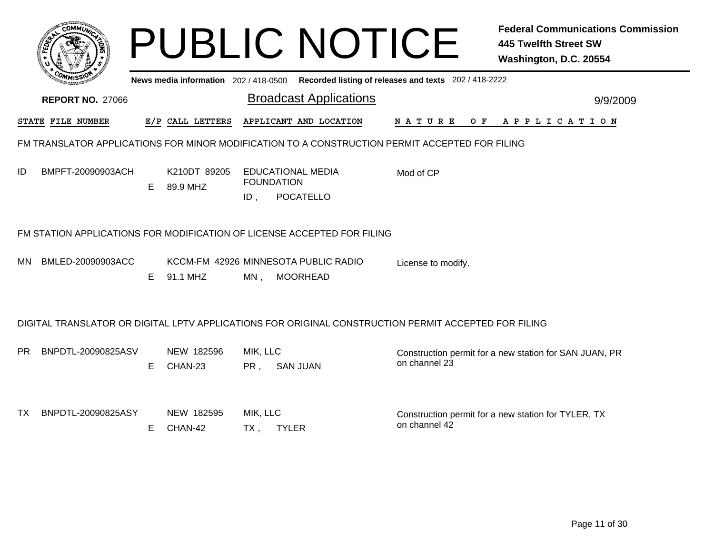|                                                                                                |                                                                                             |                          | <b>PUBLIC NOTICE</b>                                                                                 |                    | <b>Federal Communications Commission</b><br><b>445 Twelfth Street SW</b><br>Washington, D.C. 20554 |  |  |  |  |  |  |  |
|------------------------------------------------------------------------------------------------|---------------------------------------------------------------------------------------------|--------------------------|------------------------------------------------------------------------------------------------------|--------------------|----------------------------------------------------------------------------------------------------|--|--|--|--|--|--|--|
|                                                                                                | News media information 202 / 418-0500 Recorded listing of releases and texts 202 / 418-2222 |                          |                                                                                                      |                    |                                                                                                    |  |  |  |  |  |  |  |
| <b>REPORT NO. 27066</b>                                                                        |                                                                                             |                          | <b>Broadcast Applications</b>                                                                        |                    | 9/9/2009                                                                                           |  |  |  |  |  |  |  |
| STATE FILE NUMBER                                                                              |                                                                                             | E/P CALL LETTERS         | APPLICANT AND LOCATION                                                                               | O F<br>N A T U R E | A P P L I C A T I O N                                                                              |  |  |  |  |  |  |  |
| FM TRANSLATOR APPLICATIONS FOR MINOR MODIFICATION TO A CONSTRUCTION PERMIT ACCEPTED FOR FILING |                                                                                             |                          |                                                                                                      |                    |                                                                                                    |  |  |  |  |  |  |  |
| ID<br>BMPFT-20090903ACH                                                                        | E                                                                                           | K210DT 89205<br>89.9 MHZ | <b>EDUCATIONAL MEDIA</b><br><b>FOUNDATION</b><br><b>POCATELLO</b><br>ID,                             | Mod of CP          |                                                                                                    |  |  |  |  |  |  |  |
|                                                                                                |                                                                                             |                          | FM STATION APPLICATIONS FOR MODIFICATION OF LICENSE ACCEPTED FOR FILING                              |                    |                                                                                                    |  |  |  |  |  |  |  |
| BMLED-20090903ACC<br>MN.                                                                       | E                                                                                           | 91.1 MHZ                 | KCCM-FM 42926 MINNESOTA PUBLIC RADIO<br><b>MOORHEAD</b><br>$MN$ ,                                    | License to modify. |                                                                                                    |  |  |  |  |  |  |  |
|                                                                                                |                                                                                             |                          | DIGITAL TRANSLATOR OR DIGITAL LPTV APPLICATIONS FOR ORIGINAL CONSTRUCTION PERMIT ACCEPTED FOR FILING |                    |                                                                                                    |  |  |  |  |  |  |  |
| BNPDTL-20090825ASV<br>PR.                                                                      | E.                                                                                          | NEW 182596<br>CHAN-23    | MIK, LLC<br><b>SAN JUAN</b><br>PR,                                                                   | on channel 23      | Construction permit for a new station for SAN JUAN, PR                                             |  |  |  |  |  |  |  |
| BNPDTL-20090825ASY<br>TX.                                                                      | Е                                                                                           | NEW 182595<br>CHAN-42    | MIK, LLC<br><b>TYLER</b><br>$TX$ ,                                                                   | on channel 42      | Construction permit for a new station for TYLER, TX                                                |  |  |  |  |  |  |  |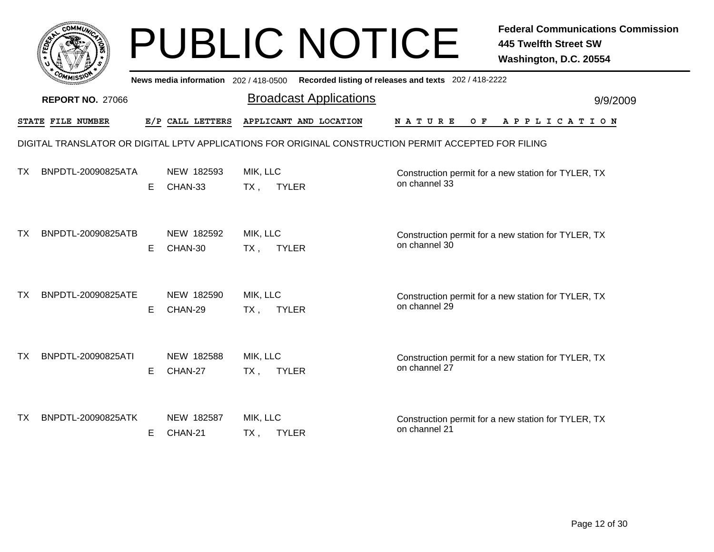|    |                         |    |                                     |                    | <b>PUBLIC NOTICE</b>                                                                                 |                                                       | <b>Federal Communications Commission</b><br><b>445 Twelfth Street SW</b><br>Washington, D.C. 20554 |
|----|-------------------------|----|-------------------------------------|--------------------|------------------------------------------------------------------------------------------------------|-------------------------------------------------------|----------------------------------------------------------------------------------------------------|
|    |                         |    | News media information 202/418-0500 |                    |                                                                                                      | Recorded listing of releases and texts 202 / 418-2222 |                                                                                                    |
|    | <b>REPORT NO. 27066</b> |    |                                     |                    | <b>Broadcast Applications</b>                                                                        |                                                       | 9/9/2009                                                                                           |
|    | STATE FILE NUMBER       |    | E/P CALL LETTERS                    |                    | APPLICANT AND LOCATION                                                                               | N A T U R E<br>O F                                    | A P P L I C A T I O N                                                                              |
|    |                         |    |                                     |                    | DIGITAL TRANSLATOR OR DIGITAL LPTV APPLICATIONS FOR ORIGINAL CONSTRUCTION PERMIT ACCEPTED FOR FILING |                                                       |                                                                                                    |
| ΤХ | BNPDTL-20090825ATA      | E. | NEW 182593<br>CHAN-33               | MIK, LLC<br>$TX$ , | <b>TYLER</b>                                                                                         | on channel 33                                         | Construction permit for a new station for TYLER, TX                                                |
| TX | BNPDTL-20090825ATB      | E. | NEW 182592<br>CHAN-30               | MIK, LLC<br>$TX$ , | <b>TYLER</b>                                                                                         | on channel 30                                         | Construction permit for a new station for TYLER, TX                                                |
| ТX | BNPDTL-20090825ATE      | Е  | NEW 182590<br>CHAN-29               | MIK, LLC<br>$TX$ , | <b>TYLER</b>                                                                                         | on channel 29                                         | Construction permit for a new station for TYLER, TX                                                |
| ТX | BNPDTL-20090825ATI      | E. | NEW 182588<br>CHAN-27               | MIK, LLC<br>TX ,   | <b>TYLER</b>                                                                                         | on channel 27                                         | Construction permit for a new station for TYLER, TX                                                |
| ТX | BNPDTL-20090825ATK      | E. | NEW 182587<br>CHAN-21               | MIK, LLC<br>TX ,   | <b>TYLER</b>                                                                                         | on channel 21                                         | Construction permit for a new station for TYLER, TX                                                |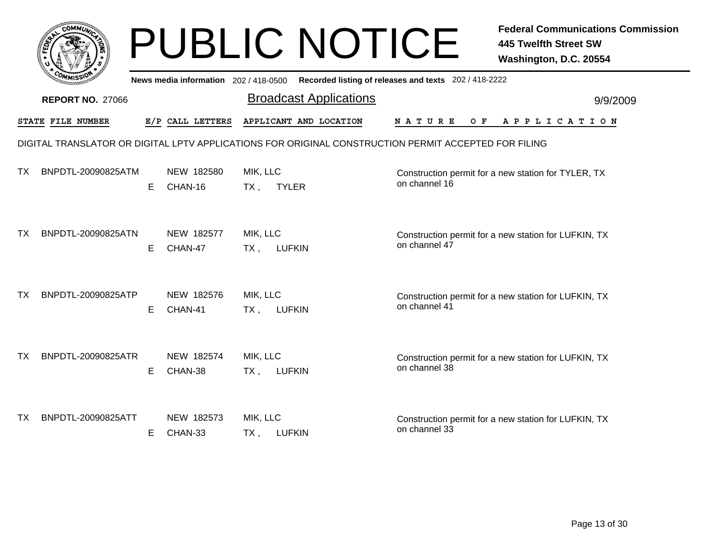|           |                         |   |                                       | <b>PUBLIC NOTICE</b>                                                                                 |                                                       | <b>Federal Communications Commission</b><br><b>445 Twelfth Street SW</b><br>Washington, D.C. 20554 |
|-----------|-------------------------|---|---------------------------------------|------------------------------------------------------------------------------------------------------|-------------------------------------------------------|----------------------------------------------------------------------------------------------------|
|           |                         |   | News media information 202 / 418-0500 |                                                                                                      | Recorded listing of releases and texts 202 / 418-2222 |                                                                                                    |
|           | <b>REPORT NO. 27066</b> |   |                                       | <b>Broadcast Applications</b>                                                                        |                                                       | 9/9/2009                                                                                           |
|           | STATE FILE NUMBER       |   | E/P CALL LETTERS                      | APPLICANT AND LOCATION                                                                               | N A T U R E<br>O F                                    | A P P L I C A T I O N                                                                              |
|           |                         |   |                                       | DIGITAL TRANSLATOR OR DIGITAL LPTV APPLICATIONS FOR ORIGINAL CONSTRUCTION PERMIT ACCEPTED FOR FILING |                                                       |                                                                                                    |
| ΤХ        | BNPDTL-20090825ATM      | E | NEW 182580<br>CHAN-16                 | MIK, LLC<br><b>TYLER</b><br>$TX$ ,                                                                   | on channel 16                                         | Construction permit for a new station for TYLER, TX                                                |
| <b>TX</b> | BNPDTL-20090825ATN      | E | NEW 182577<br>CHAN-47                 | MIK, LLC<br><b>LUFKIN</b><br>TX,                                                                     | on channel 47                                         | Construction permit for a new station for LUFKIN, TX                                               |
| ТX        | BNPDTL-20090825ATP      | E | NEW 182576<br>CHAN-41                 | MIK, LLC<br><b>LUFKIN</b><br>$TX$ ,                                                                  | on channel 41                                         | Construction permit for a new station for LUFKIN, TX                                               |
| ТX        | BNPDTL-20090825ATR      | Е | NEW 182574<br>CHAN-38                 | MIK, LLC<br><b>LUFKIN</b><br>$TX$ ,                                                                  | on channel 38                                         | Construction permit for a new station for LUFKIN, TX                                               |
| TX.       | BNPDTL-20090825ATT      | Е | NEW 182573<br>CHAN-33                 | MIK, LLC<br>TX,<br><b>LUFKIN</b>                                                                     | on channel 33                                         | Construction permit for a new station for LUFKIN, TX                                               |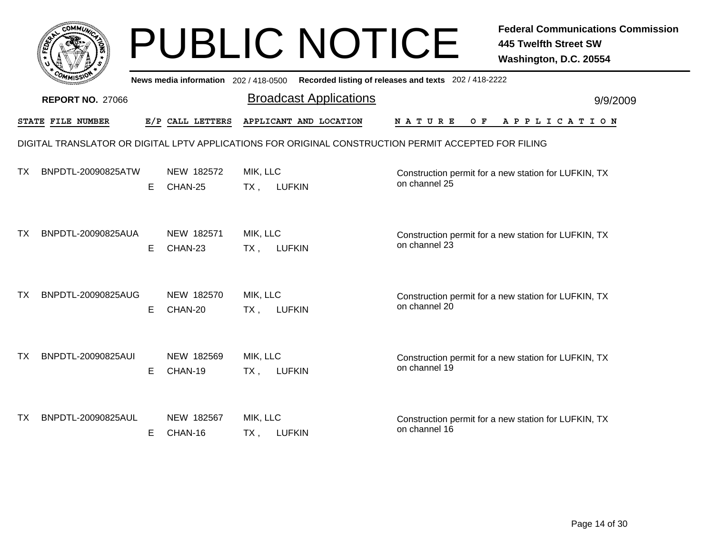|    |                         |    |                                     | <b>PUBLIC NOTICE</b>                                                                                 |                                                       | <b>Federal Communications Commission</b><br><b>445 Twelfth Street SW</b><br>Washington, D.C. 20554 |
|----|-------------------------|----|-------------------------------------|------------------------------------------------------------------------------------------------------|-------------------------------------------------------|----------------------------------------------------------------------------------------------------|
|    |                         |    | News media information 202/418-0500 |                                                                                                      | Recorded listing of releases and texts 202 / 418-2222 |                                                                                                    |
|    | <b>REPORT NO. 27066</b> |    |                                     | <b>Broadcast Applications</b>                                                                        |                                                       | 9/9/2009                                                                                           |
|    | STATE FILE NUMBER       |    | E/P CALL LETTERS                    | APPLICANT AND LOCATION                                                                               | N A T U R E<br>O F                                    | APPLICATION                                                                                        |
|    |                         |    |                                     | DIGITAL TRANSLATOR OR DIGITAL LPTV APPLICATIONS FOR ORIGINAL CONSTRUCTION PERMIT ACCEPTED FOR FILING |                                                       |                                                                                                    |
| ТX | BNPDTL-20090825ATW      | Е  | NEW 182572<br>CHAN-25               | MIK, LLC<br><b>LUFKIN</b><br>$TX$ ,                                                                  | on channel 25                                         | Construction permit for a new station for LUFKIN, TX                                               |
| ТX | BNPDTL-20090825AUA      | E. | NEW 182571<br>CHAN-23               | MIK, LLC<br><b>LUFKIN</b><br>TX,                                                                     | on channel 23                                         | Construction permit for a new station for LUFKIN, TX                                               |
| ТX | BNPDTL-20090825AUG      | Е  | NEW 182570<br>CHAN-20               | MIK, LLC<br>$TX$ ,<br><b>LUFKIN</b>                                                                  | on channel 20                                         | Construction permit for a new station for LUFKIN, TX                                               |
| TХ | BNPDTL-20090825AUI      | E. | NEW 182569<br>CHAN-19               | MIK, LLC<br><b>LUFKIN</b><br>TX,                                                                     | on channel 19                                         | Construction permit for a new station for LUFKIN, TX                                               |
| ТX | BNPDTL-20090825AUL      | E. | NEW 182567<br>CHAN-16               | MIK, LLC<br><b>LUFKIN</b><br>TX ,                                                                    | on channel 16                                         | Construction permit for a new station for LUFKIN, TX                                               |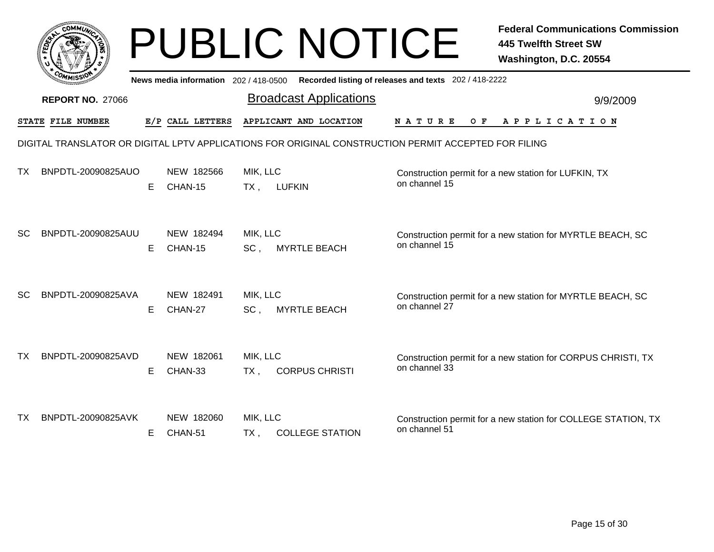|           |                         |    |                       |                             | <b>PUBLIC NOTICE</b>                                                                                 |                    | <b>Federal Communications Commission</b><br><b>445 Twelfth Street SW</b><br>Washington, D.C. 20554 |
|-----------|-------------------------|----|-----------------------|-----------------------------|------------------------------------------------------------------------------------------------------|--------------------|----------------------------------------------------------------------------------------------------|
|           |                         |    |                       |                             | News media information 202 / 418-0500 Recorded listing of releases and texts 202 / 418-2222          |                    |                                                                                                    |
|           | <b>REPORT NO. 27066</b> |    |                       |                             | <b>Broadcast Applications</b>                                                                        |                    | 9/9/2009                                                                                           |
|           | STATE FILE NUMBER       |    | E/P CALL LETTERS      |                             | APPLICANT AND LOCATION                                                                               | N A T U R E<br>O F | A P P L I C A T I O N                                                                              |
|           |                         |    |                       |                             | DIGITAL TRANSLATOR OR DIGITAL LPTV APPLICATIONS FOR ORIGINAL CONSTRUCTION PERMIT ACCEPTED FOR FILING |                    |                                                                                                    |
| ТX        | BNPDTL-20090825AUO      | E. | NEW 182566<br>CHAN-15 | MIK, LLC<br>$TX$ ,          | <b>LUFKIN</b>                                                                                        | on channel 15      | Construction permit for a new station for LUFKIN, TX                                               |
| <b>SC</b> | BNPDTL-20090825AUU      | E. | NEW 182494<br>CHAN-15 | MIK, LLC<br>SC,             | <b>MYRTLE BEACH</b>                                                                                  | on channel 15      | Construction permit for a new station for MYRTLE BEACH, SC                                         |
| <b>SC</b> | BNPDTL-20090825AVA      | E. | NEW 182491<br>CHAN-27 | MIK, LLC<br>SC <sub>1</sub> | <b>MYRTLE BEACH</b>                                                                                  | on channel 27      | Construction permit for a new station for MYRTLE BEACH, SC                                         |
| ТX        | BNPDTL-20090825AVD      | E. | NEW 182061<br>CHAN-33 | MIK, LLC<br>$TX$ ,          | <b>CORPUS CHRISTI</b>                                                                                | on channel 33      | Construction permit for a new station for CORPUS CHRISTI, TX                                       |
| ТX        | BNPDTL-20090825AVK      | E. | NEW 182060<br>CHAN-51 | MIK, LLC<br>$TX$ ,          | <b>COLLEGE STATION</b>                                                                               | on channel 51      | Construction permit for a new station for COLLEGE STATION, TX                                      |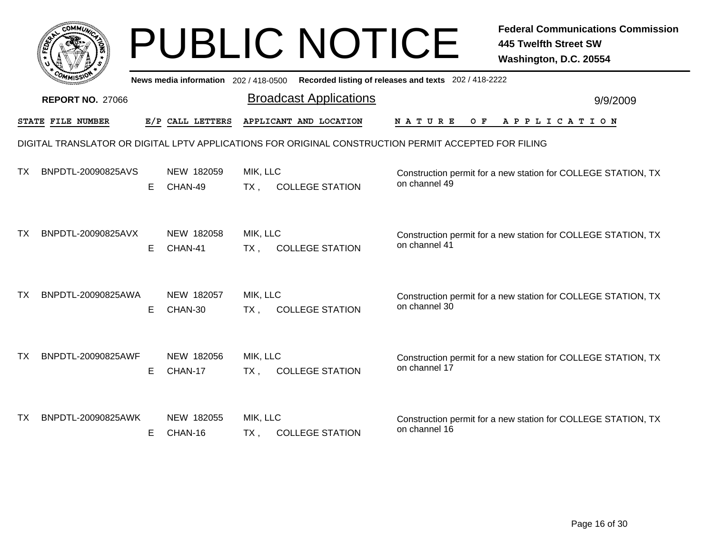|           |                                                                                                      |    |                                     |                    | <b>PUBLIC NOTICE</b>          |                                                       | <b>Federal Communications Commission</b><br><b>445 Twelfth Street SW</b><br>Washington, D.C. 20554 |  |  |
|-----------|------------------------------------------------------------------------------------------------------|----|-------------------------------------|--------------------|-------------------------------|-------------------------------------------------------|----------------------------------------------------------------------------------------------------|--|--|
|           |                                                                                                      |    | News media information 202/418-0500 |                    |                               | Recorded listing of releases and texts 202 / 418-2222 |                                                                                                    |  |  |
|           | <b>REPORT NO. 27066</b>                                                                              |    |                                     |                    | <b>Broadcast Applications</b> |                                                       | 9/9/2009                                                                                           |  |  |
|           | STATE FILE NUMBER                                                                                    |    | E/P CALL LETTERS                    |                    | APPLICANT AND LOCATION        | N A T U R E<br>O F                                    | A P P L I C A T I O N                                                                              |  |  |
|           | DIGITAL TRANSLATOR OR DIGITAL LPTV APPLICATIONS FOR ORIGINAL CONSTRUCTION PERMIT ACCEPTED FOR FILING |    |                                     |                    |                               |                                                       |                                                                                                    |  |  |
| ТX        | BNPDTL-20090825AVS                                                                                   | E  | NEW 182059<br>CHAN-49               | MIK, LLC<br>$TX$ , | <b>COLLEGE STATION</b>        | on channel 49                                         | Construction permit for a new station for COLLEGE STATION, TX                                      |  |  |
| <b>TX</b> | BNPDTL-20090825AVX                                                                                   | E. | NEW 182058<br>CHAN-41               | MIK, LLC<br>$TX$ , | <b>COLLEGE STATION</b>        | on channel 41                                         | Construction permit for a new station for COLLEGE STATION, TX                                      |  |  |
| ТX        | BNPDTL-20090825AWA                                                                                   | E. | NEW 182057<br>CHAN-30               | MIK, LLC<br>TX.    | <b>COLLEGE STATION</b>        | on channel 30                                         | Construction permit for a new station for COLLEGE STATION, TX                                      |  |  |
| ТX        | BNPDTL-20090825AWF                                                                                   | E. | NEW 182056<br>CHAN-17               | MIK, LLC<br>$TX$ , | <b>COLLEGE STATION</b>        | on channel 17                                         | Construction permit for a new station for COLLEGE STATION, TX                                      |  |  |
| TХ        | BNPDTL-20090825AWK                                                                                   | E. | NEW 182055<br>CHAN-16               | MIK, LLC<br>$TX$ , | <b>COLLEGE STATION</b>        | on channel 16                                         | Construction permit for a new station for COLLEGE STATION, TX                                      |  |  |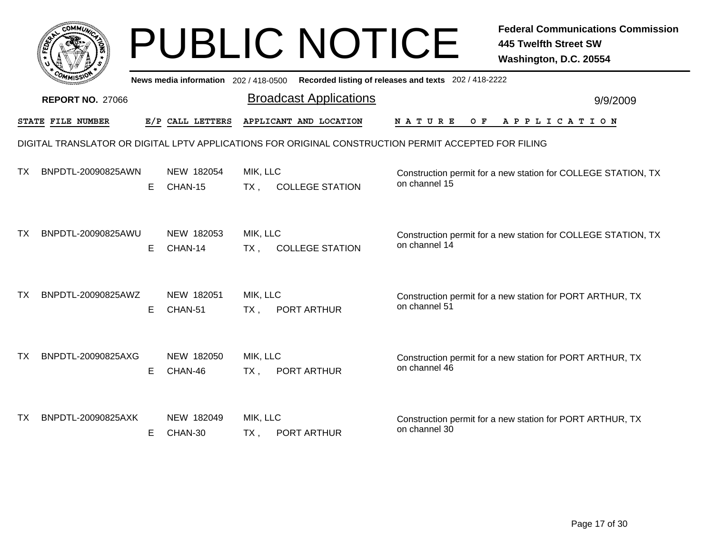|           |                                                                                                      |    |                                     |                    | <b>PUBLIC NOTICE</b>          |                                                       | <b>Federal Communications Commission</b><br><b>445 Twelfth Street SW</b><br>Washington, D.C. 20554 |  |  |
|-----------|------------------------------------------------------------------------------------------------------|----|-------------------------------------|--------------------|-------------------------------|-------------------------------------------------------|----------------------------------------------------------------------------------------------------|--|--|
|           |                                                                                                      |    | News media information 202/418-0500 |                    |                               | Recorded listing of releases and texts 202 / 418-2222 |                                                                                                    |  |  |
|           | <b>REPORT NO. 27066</b>                                                                              |    |                                     |                    | <b>Broadcast Applications</b> |                                                       | 9/9/2009                                                                                           |  |  |
|           | STATE FILE NUMBER                                                                                    |    | E/P CALL LETTERS                    |                    | APPLICANT AND LOCATION        | N A T U R E<br>O F                                    | A P P L I C A T I O N                                                                              |  |  |
|           | DIGITAL TRANSLATOR OR DIGITAL LPTV APPLICATIONS FOR ORIGINAL CONSTRUCTION PERMIT ACCEPTED FOR FILING |    |                                     |                    |                               |                                                       |                                                                                                    |  |  |
| TX.       | BNPDTL-20090825AWN                                                                                   | E. | NEW 182054<br>CHAN-15               | MIK, LLC<br>$TX$ , | <b>COLLEGE STATION</b>        | on channel 15                                         | Construction permit for a new station for COLLEGE STATION, TX                                      |  |  |
| <b>TX</b> | BNPDTL-20090825AWU                                                                                   | E. | NEW 182053<br>CHAN-14               | MIK, LLC<br>$TX$ , | <b>COLLEGE STATION</b>        | on channel 14                                         | Construction permit for a new station for COLLEGE STATION, TX                                      |  |  |
| TX        | BNPDTL-20090825AWZ                                                                                   | E. | NEW 182051<br>CHAN-51               | MIK, LLC<br>$TX$ , | PORT ARTHUR                   | on channel 51                                         | Construction permit for a new station for PORT ARTHUR, TX                                          |  |  |
| TX.       | BNPDTL-20090825AXG                                                                                   | E. | NEW 182050<br>CHAN-46               | MIK, LLC<br>$TX$ , | PORT ARTHUR                   | on channel 46                                         | Construction permit for a new station for PORT ARTHUR, TX                                          |  |  |
| TX.       | BNPDTL-20090825AXK                                                                                   | E. | NEW 182049<br>CHAN-30               | MIK, LLC<br>$TX$ , | PORT ARTHUR                   | on channel 30                                         | Construction permit for a new station for PORT ARTHUR, TX                                          |  |  |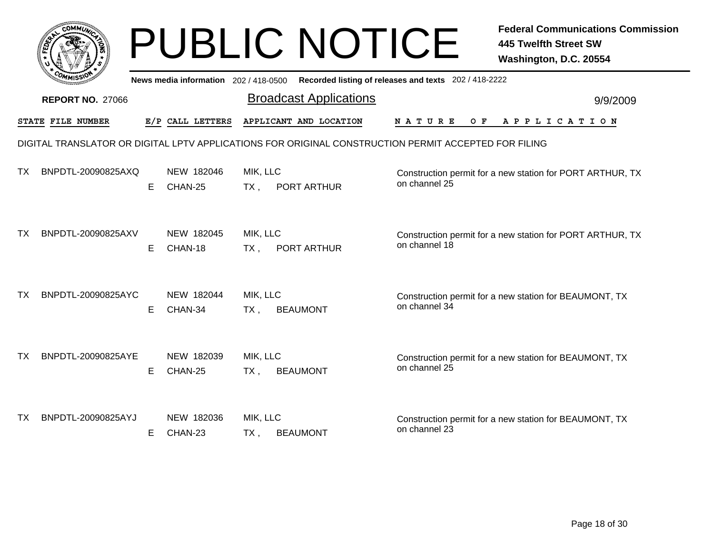|    |                         |    |                       |                          | <b>PUBLIC NOTICE</b>                                                                                 |                    | <b>Federal Communications Commission</b><br><b>445 Twelfth Street SW</b><br>Washington, D.C. 20554 |
|----|-------------------------|----|-----------------------|--------------------------|------------------------------------------------------------------------------------------------------|--------------------|----------------------------------------------------------------------------------------------------|
|    |                         |    |                       |                          | News media information 202 / 418-0500 Recorded listing of releases and texts 202 / 418-2222          |                    |                                                                                                    |
|    | <b>REPORT NO. 27066</b> |    |                       |                          | <b>Broadcast Applications</b>                                                                        |                    | 9/9/2009                                                                                           |
|    | STATE FILE NUMBER       |    | E/P CALL LETTERS      |                          | APPLICANT AND LOCATION                                                                               | N A T U R E<br>O F | A P P L I C A T I O N                                                                              |
|    |                         |    |                       |                          | DIGITAL TRANSLATOR OR DIGITAL LPTV APPLICATIONS FOR ORIGINAL CONSTRUCTION PERMIT ACCEPTED FOR FILING |                    |                                                                                                    |
| ТX | BNPDTL-20090825AXQ      | Е  | NEW 182046<br>CHAN-25 | MIK, LLC<br>$TX$ ,       | PORT ARTHUR                                                                                          | on channel 25      | Construction permit for a new station for PORT ARTHUR, TX                                          |
| ТX | BNPDTL-20090825AXV      | E. | NEW 182045<br>CHAN-18 | MIK, LLC<br>$TX$ ,       | PORT ARTHUR                                                                                          | on channel 18      | Construction permit for a new station for PORT ARTHUR, TX                                          |
| ТX | BNPDTL-20090825AYC      | E. | NEW 182044<br>CHAN-34 | MIK, LLC<br>$TX_{\cdot}$ | <b>BEAUMONT</b>                                                                                      | on channel 34      | Construction permit for a new station for BEAUMONT, TX                                             |
| ТX | BNPDTL-20090825AYE      | E. | NEW 182039<br>CHAN-25 | MIK, LLC<br>$TX$ ,       | <b>BEAUMONT</b>                                                                                      | on channel 25      | Construction permit for a new station for BEAUMONT, TX                                             |
| ТX | BNPDTL-20090825AYJ      | E. | NEW 182036<br>CHAN-23 | MIK, LLC<br>$TX$ ,       | <b>BEAUMONT</b>                                                                                      | on channel 23      | Construction permit for a new station for BEAUMONT, TX                                             |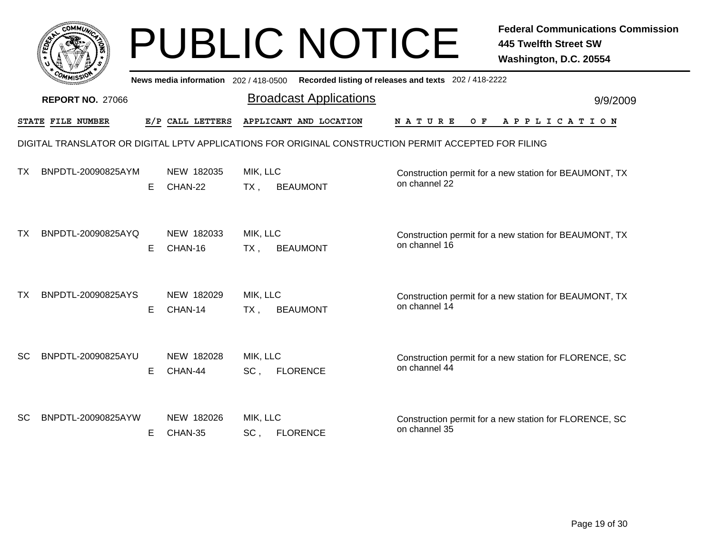|           |                         |    |                                     |                    | <b>PUBLIC NOTICE</b>                                                                                 |                                                       | <b>Federal Communications Commission</b><br><b>445 Twelfth Street SW</b><br>Washington, D.C. 20554 |
|-----------|-------------------------|----|-------------------------------------|--------------------|------------------------------------------------------------------------------------------------------|-------------------------------------------------------|----------------------------------------------------------------------------------------------------|
|           |                         |    | News media information 202/418-0500 |                    |                                                                                                      | Recorded listing of releases and texts 202 / 418-2222 |                                                                                                    |
|           | <b>REPORT NO. 27066</b> |    |                                     |                    | <b>Broadcast Applications</b>                                                                        |                                                       | 9/9/2009                                                                                           |
|           | STATE FILE NUMBER       |    | E/P CALL LETTERS                    |                    | APPLICANT AND LOCATION                                                                               | N A T U R E<br>O F                                    | A P P L I C A T I O N                                                                              |
|           |                         |    |                                     |                    | DIGITAL TRANSLATOR OR DIGITAL LPTV APPLICATIONS FOR ORIGINAL CONSTRUCTION PERMIT ACCEPTED FOR FILING |                                                       |                                                                                                    |
| ТΧ        | BNPDTL-20090825AYM      | E  | NEW 182035<br>CHAN-22               | MIK, LLC<br>$TX$ , | <b>BEAUMONT</b>                                                                                      | on channel 22                                         | Construction permit for a new station for BEAUMONT, TX                                             |
| ТX        | BNPDTL-20090825AYQ      | E. | NEW 182033<br>CHAN-16               | MIK, LLC<br>$TX$ , | <b>BEAUMONT</b>                                                                                      | on channel 16                                         | Construction permit for a new station for BEAUMONT, TX                                             |
| ТX        | BNPDTL-20090825AYS      | Е  | NEW 182029<br>CHAN-14               | MIK, LLC<br>$TX$ , | <b>BEAUMONT</b>                                                                                      | on channel 14                                         | Construction permit for a new station for BEAUMONT, TX                                             |
| <b>SC</b> | BNPDTL-20090825AYU      | E. | NEW 182028<br>CHAN-44               | MIK, LLC<br>$SC$ , | <b>FLORENCE</b>                                                                                      | on channel 44                                         | Construction permit for a new station for FLORENCE, SC                                             |
| SC.       | BNPDTL-20090825AYW      | E. | NEW 182026<br>CHAN-35               | MIK, LLC<br>SC,    | <b>FLORENCE</b>                                                                                      | on channel 35                                         | Construction permit for a new station for FLORENCE, SC                                             |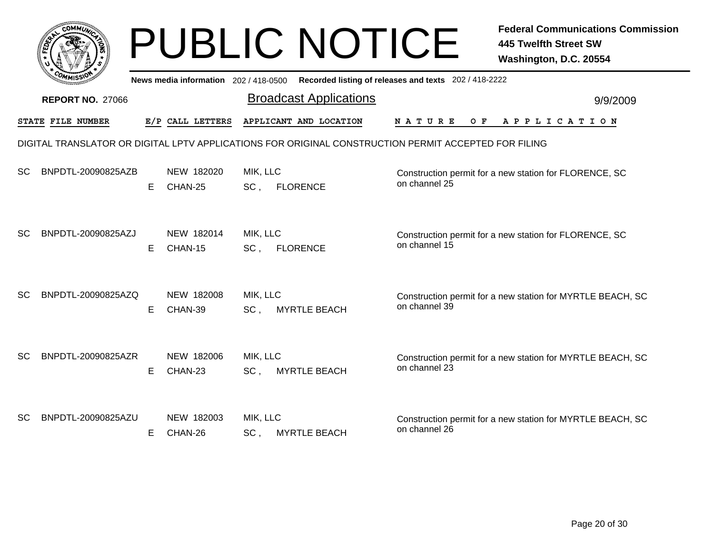|           |                         |    |                                       |                             | <b>PUBLIC NOTICE</b>                                                                                 |                                                       | <b>Federal Communications Commission</b><br><b>445 Twelfth Street SW</b><br>Washington, D.C. 20554 |
|-----------|-------------------------|----|---------------------------------------|-----------------------------|------------------------------------------------------------------------------------------------------|-------------------------------------------------------|----------------------------------------------------------------------------------------------------|
|           |                         |    | News media information 202 / 418-0500 |                             |                                                                                                      | Recorded listing of releases and texts 202 / 418-2222 |                                                                                                    |
|           | <b>REPORT NO. 27066</b> |    |                                       |                             | <b>Broadcast Applications</b>                                                                        |                                                       | 9/9/2009                                                                                           |
|           | STATE FILE NUMBER       |    | E/P CALL LETTERS                      |                             | APPLICANT AND LOCATION                                                                               | N A T U R E<br>O F                                    | A P P L I C A T I O N                                                                              |
|           |                         |    |                                       |                             | DIGITAL TRANSLATOR OR DIGITAL LPTV APPLICATIONS FOR ORIGINAL CONSTRUCTION PERMIT ACCEPTED FOR FILING |                                                       |                                                                                                    |
| <b>SC</b> | BNPDTL-20090825AZB      | Е  | NEW 182020<br>CHAN-25                 | MIK, LLC<br>$SC$ ,          | <b>FLORENCE</b>                                                                                      | on channel 25                                         | Construction permit for a new station for FLORENCE, SC                                             |
| <b>SC</b> | BNPDTL-20090825AZJ      | Е  | NEW 182014<br>CHAN-15                 | MIK, LLC<br>SC,             | <b>FLORENCE</b>                                                                                      | on channel 15                                         | Construction permit for a new station for FLORENCE, SC                                             |
| SC.       | BNPDTL-20090825AZQ      | Е  | NEW 182008<br>CHAN-39                 | MIK, LLC<br>SC <sub>1</sub> | <b>MYRTLE BEACH</b>                                                                                  | on channel 39                                         | Construction permit for a new station for MYRTLE BEACH, SC                                         |
| <b>SC</b> | BNPDTL-20090825AZR      | E. | NEW 182006<br>CHAN-23                 | MIK, LLC<br>$SC$ ,          | <b>MYRTLE BEACH</b>                                                                                  | on channel 23                                         | Construction permit for a new station for MYRTLE BEACH, SC                                         |
| SC.       | BNPDTL-20090825AZU      | E. | NEW 182003<br>CHAN-26                 | MIK, LLC<br>SC,             | <b>MYRTLE BEACH</b>                                                                                  | on channel 26                                         | Construction permit for a new station for MYRTLE BEACH, SC                                         |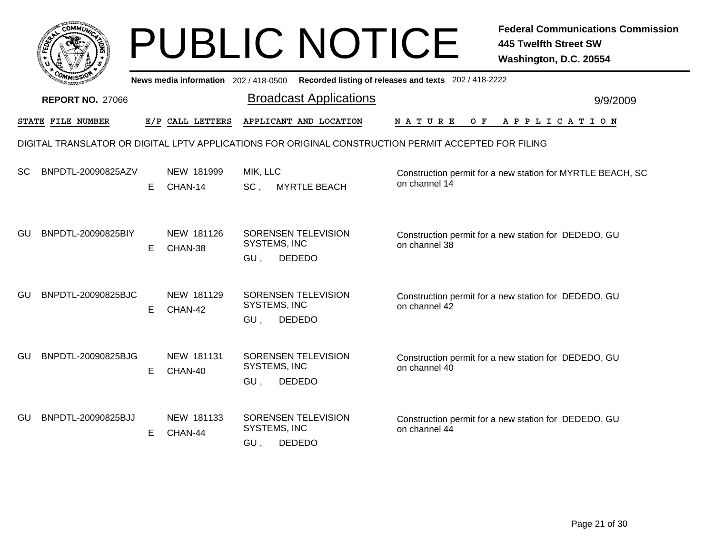|     |                         |    |                                     | <b>PUBLIC NOTICE</b>                                                                                 |                                                       | <b>Federal Communications Commission</b><br><b>445 Twelfth Street SW</b><br>Washington, D.C. 20554 |
|-----|-------------------------|----|-------------------------------------|------------------------------------------------------------------------------------------------------|-------------------------------------------------------|----------------------------------------------------------------------------------------------------|
|     |                         |    | News media information 202/418-0500 |                                                                                                      | Recorded listing of releases and texts 202 / 418-2222 |                                                                                                    |
|     | <b>REPORT NO. 27066</b> |    |                                     | <b>Broadcast Applications</b>                                                                        |                                                       | 9/9/2009                                                                                           |
|     | STATE FILE NUMBER       |    | E/P CALL LETTERS                    | APPLICANT AND LOCATION                                                                               | N A T U R E<br>O F                                    | A P P L I C A T I O N                                                                              |
|     |                         |    |                                     | DIGITAL TRANSLATOR OR DIGITAL LPTV APPLICATIONS FOR ORIGINAL CONSTRUCTION PERMIT ACCEPTED FOR FILING |                                                       |                                                                                                    |
| SC  | BNPDTL-20090825AZV      | E. | NEW 181999<br>CHAN-14               | MIK, LLC<br>$SC$ .<br><b>MYRTLE BEACH</b>                                                            | on channel 14                                         | Construction permit for a new station for MYRTLE BEACH, SC                                         |
| GU. | BNPDTL-20090825BIY      | E. | NEW 181126<br>CHAN-38               | SORENSEN TELEVISION<br>SYSTEMS, INC<br>GU,<br><b>DEDEDO</b>                                          | on channel 38                                         | Construction permit for a new station for DEDEDO, GU                                               |
| GU  | BNPDTL-20090825BJC      | E. | NEW 181129<br>CHAN-42               | SORENSEN TELEVISION<br>SYSTEMS, INC<br>GU,<br><b>DEDEDO</b>                                          | on channel 42                                         | Construction permit for a new station for DEDEDO, GU                                               |
| GU  | BNPDTL-20090825BJG      | E  | NEW 181131<br>CHAN-40               | SORENSEN TELEVISION<br>SYSTEMS, INC<br>GU,<br><b>DEDEDO</b>                                          | on channel 40                                         | Construction permit for a new station for DEDEDO, GU                                               |
| GU  | BNPDTL-20090825BJJ      | Е  | NEW 181133<br>CHAN-44               | <b>SORENSEN TELEVISION</b><br>SYSTEMS, INC<br><b>DEDEDO</b><br>GU,                                   | on channel 44                                         | Construction permit for a new station for DEDEDO, GU                                               |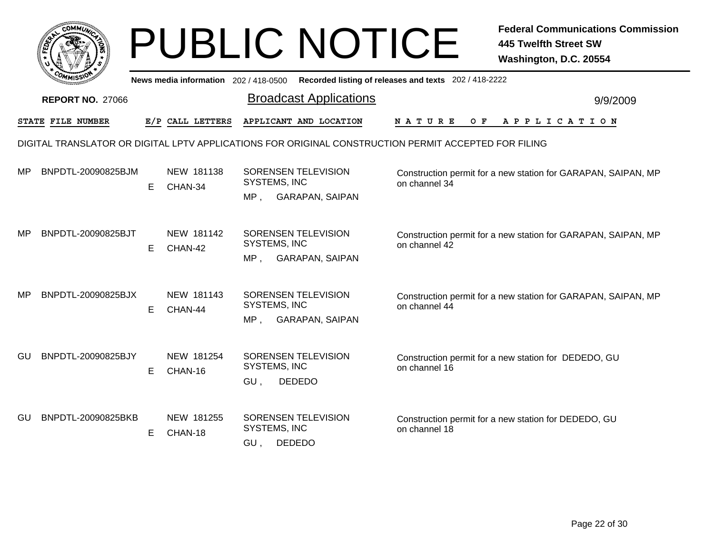|           | <b>COMMUT</b>                                                                                        |    |                                     | <b>PUBLIC NOTICE</b>                                                 |                                                       |     | <b>Federal Communications Commission</b><br><b>445 Twelfth Street SW</b><br>Washington, D.C. 20554 |
|-----------|------------------------------------------------------------------------------------------------------|----|-------------------------------------|----------------------------------------------------------------------|-------------------------------------------------------|-----|----------------------------------------------------------------------------------------------------|
|           |                                                                                                      |    | News media information 202/418-0500 |                                                                      | Recorded listing of releases and texts 202 / 418-2222 |     |                                                                                                    |
|           | <b>REPORT NO. 27066</b>                                                                              |    |                                     | <b>Broadcast Applications</b>                                        |                                                       |     | 9/9/2009                                                                                           |
|           | STATE FILE NUMBER                                                                                    |    | E/P CALL LETTERS                    | APPLICANT AND LOCATION                                               | <b>NATURE</b>                                         | O F | A P P L I C A T I O N                                                                              |
|           | DIGITAL TRANSLATOR OR DIGITAL LPTV APPLICATIONS FOR ORIGINAL CONSTRUCTION PERMIT ACCEPTED FOR FILING |    |                                     |                                                                      |                                                       |     |                                                                                                    |
| MP        | BNPDTL-20090825BJM                                                                                   | E  | NEW 181138<br>CHAN-34               | SORENSEN TELEVISION<br>SYSTEMS, INC                                  | on channel 34                                         |     | Construction permit for a new station for GARAPAN, SAIPAN, MP                                      |
|           |                                                                                                      |    |                                     | MP, GARAPAN, SAIPAN                                                  |                                                       |     |                                                                                                    |
| <b>MP</b> | BNPDTL-20090825BJT                                                                                   | E. | NEW 181142<br>CHAN-42               | SORENSEN TELEVISION<br>SYSTEMS, INC<br><b>GARAPAN, SAIPAN</b><br>MP, | on channel 42                                         |     | Construction permit for a new station for GARAPAN, SAIPAN, MP                                      |
| МP        | BNPDTL-20090825BJX                                                                                   | E. | NEW 181143<br>CHAN-44               | <b>SORENSEN TELEVISION</b><br>SYSTEMS, INC<br>MP, GARAPAN, SAIPAN    | on channel 44                                         |     | Construction permit for a new station for GARAPAN, SAIPAN, MP                                      |
| GU        | BNPDTL-20090825BJY                                                                                   | E. | NEW 181254<br>CHAN-16               | SORENSEN TELEVISION<br>SYSTEMS, INC<br>GU,<br><b>DEDEDO</b>          | on channel 16                                         |     | Construction permit for a new station for DEDEDO, GU                                               |
| GU        | BNPDTL-20090825BKB                                                                                   | Е  | NEW 181255<br>CHAN-18               | <b>SORENSEN TELEVISION</b><br>SYSTEMS, INC<br><b>DEDEDO</b><br>GU.   | on channel 18                                         |     | Construction permit for a new station for DEDEDO, GU                                               |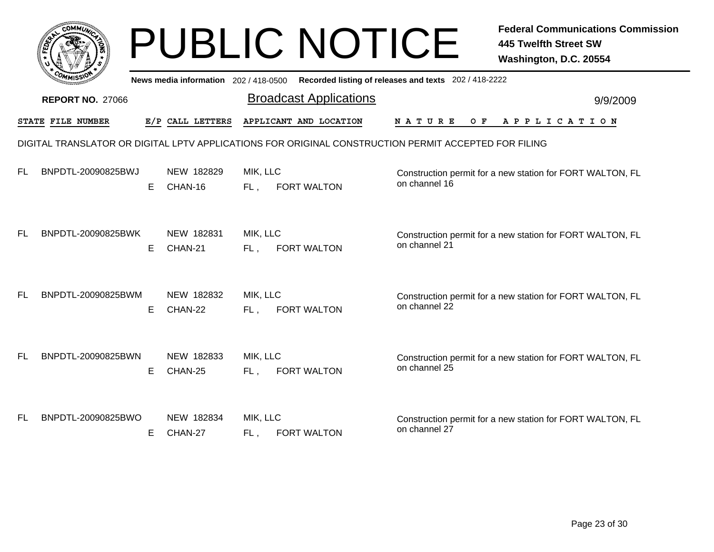|     |                         |    |                                     |                    | <b>PUBLIC NOTICE</b>                                                                                 |                                                       | <b>Federal Communications Commission</b><br><b>445 Twelfth Street SW</b><br>Washington, D.C. 20554 |
|-----|-------------------------|----|-------------------------------------|--------------------|------------------------------------------------------------------------------------------------------|-------------------------------------------------------|----------------------------------------------------------------------------------------------------|
|     |                         |    | News media information 202/418-0500 |                    |                                                                                                      | Recorded listing of releases and texts 202 / 418-2222 |                                                                                                    |
|     | <b>REPORT NO. 27066</b> |    |                                     |                    | <b>Broadcast Applications</b>                                                                        |                                                       | 9/9/2009                                                                                           |
|     | STATE FILE NUMBER       |    | E/P CALL LETTERS                    |                    | APPLICANT AND LOCATION                                                                               | N A T U R E<br>O F                                    | A P P L I C A T I O N                                                                              |
|     |                         |    |                                     |                    | DIGITAL TRANSLATOR OR DIGITAL LPTV APPLICATIONS FOR ORIGINAL CONSTRUCTION PERMIT ACCEPTED FOR FILING |                                                       |                                                                                                    |
| FL. | BNPDTL-20090825BWJ      | E  | NEW 182829<br>CHAN-16               | MIK, LLC<br>$FL$ , | <b>FORT WALTON</b>                                                                                   | on channel 16                                         | Construction permit for a new station for FORT WALTON, FL                                          |
| FL. | BNPDTL-20090825BWK      | E. | NEW 182831<br>CHAN-21               | MIK, LLC<br>$FL$ , | <b>FORT WALTON</b>                                                                                   | on channel 21                                         | Construction permit for a new station for FORT WALTON, FL                                          |
| FL. | BNPDTL-20090825BWM      | Е  | NEW 182832<br>CHAN-22               | MIK, LLC<br>FL.    | <b>FORT WALTON</b>                                                                                   | on channel 22                                         | Construction permit for a new station for FORT WALTON, FL                                          |
| FL. | BNPDTL-20090825BWN      | E. | NEW 182833<br>CHAN-25               | MIK, LLC<br>FL,    | <b>FORT WALTON</b>                                                                                   | on channel 25                                         | Construction permit for a new station for FORT WALTON, FL                                          |
| FL. | BNPDTL-20090825BWO      | E. | NEW 182834<br>CHAN-27               | MIK, LLC<br>FL,    | <b>FORT WALTON</b>                                                                                   | on channel 27                                         | Construction permit for a new station for FORT WALTON, FL                                          |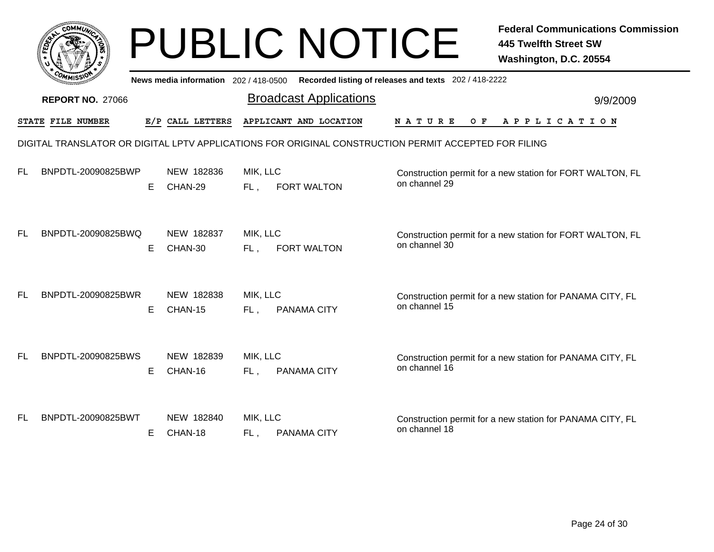|           |                         |    |                                     |                    | <b>PUBLIC NOTICE</b>                                                                                 |                                                       | <b>Federal Communications Commission</b><br><b>445 Twelfth Street SW</b><br>Washington, D.C. 20554 |
|-----------|-------------------------|----|-------------------------------------|--------------------|------------------------------------------------------------------------------------------------------|-------------------------------------------------------|----------------------------------------------------------------------------------------------------|
|           |                         |    | News media information 202/418-0500 |                    |                                                                                                      | Recorded listing of releases and texts 202 / 418-2222 |                                                                                                    |
|           | <b>REPORT NO. 27066</b> |    |                                     |                    | <b>Broadcast Applications</b>                                                                        |                                                       | 9/9/2009                                                                                           |
|           | STATE FILE NUMBER       |    | E/P CALL LETTERS                    |                    | APPLICANT AND LOCATION                                                                               | N A T U R E<br>O F                                    | A P P L I C A T I O N                                                                              |
|           |                         |    |                                     |                    | DIGITAL TRANSLATOR OR DIGITAL LPTV APPLICATIONS FOR ORIGINAL CONSTRUCTION PERMIT ACCEPTED FOR FILING |                                                       |                                                                                                    |
| <b>FL</b> | BNPDTL-20090825BWP      | E. | NEW 182836<br>CHAN-29               | MIK, LLC<br>FL,    | <b>FORT WALTON</b>                                                                                   | on channel 29                                         | Construction permit for a new station for FORT WALTON, FL                                          |
| <b>FL</b> | BNPDTL-20090825BWQ      | E. | NEW 182837<br>CHAN-30               | MIK, LLC<br>FL,    | <b>FORT WALTON</b>                                                                                   | on channel 30                                         | Construction permit for a new station for FORT WALTON, FL                                          |
| <b>FL</b> | BNPDTL-20090825BWR      | E. | NEW 182838<br>CHAN-15               | MIK, LLC<br>$FL$ , | PANAMA CITY                                                                                          | on channel 15                                         | Construction permit for a new station for PANAMA CITY, FL                                          |
| <b>FL</b> | BNPDTL-20090825BWS      | E. | NEW 182839<br>CHAN-16               | MIK, LLC<br>FL,    | PANAMA CITY                                                                                          | on channel 16                                         | Construction permit for a new station for PANAMA CITY, FL                                          |
| FL        | BNPDTL-20090825BWT      | E. | NEW 182840<br>CHAN-18               | MIK, LLC<br>FL,    | <b>PANAMA CITY</b>                                                                                   | on channel 18                                         | Construction permit for a new station for PANAMA CITY, FL                                          |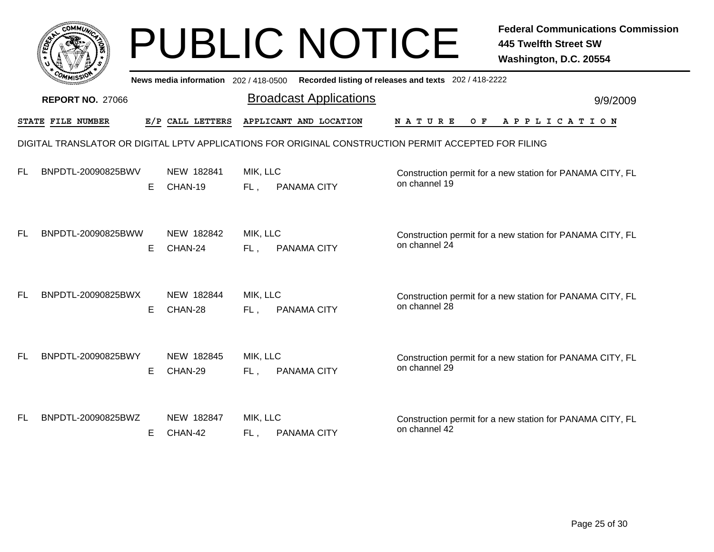|           |                         |    |                                     |                    | <b>PUBLIC NOTICE</b>                                                                                 |                                                       | <b>Federal Communications Commission</b><br><b>445 Twelfth Street SW</b><br>Washington, D.C. 20554 |
|-----------|-------------------------|----|-------------------------------------|--------------------|------------------------------------------------------------------------------------------------------|-------------------------------------------------------|----------------------------------------------------------------------------------------------------|
|           |                         |    | News media information 202/418-0500 |                    |                                                                                                      | Recorded listing of releases and texts 202 / 418-2222 |                                                                                                    |
|           | <b>REPORT NO. 27066</b> |    |                                     |                    | <b>Broadcast Applications</b>                                                                        |                                                       | 9/9/2009                                                                                           |
|           | STATE FILE NUMBER       |    | E/P CALL LETTERS                    |                    | APPLICANT AND LOCATION                                                                               | <b>NATURE</b><br>O F                                  | APPLICATION                                                                                        |
|           |                         |    |                                     |                    | DIGITAL TRANSLATOR OR DIGITAL LPTV APPLICATIONS FOR ORIGINAL CONSTRUCTION PERMIT ACCEPTED FOR FILING |                                                       |                                                                                                    |
| FL        | BNPDTL-20090825BWV      | E. | NEW 182841<br>CHAN-19               | MIK, LLC<br>FL,    | PANAMA CITY                                                                                          | on channel 19                                         | Construction permit for a new station for PANAMA CITY, FL                                          |
| <b>FL</b> | BNPDTL-20090825BWW      | Е  | NEW 182842<br>CHAN-24               | MIK, LLC<br>FL,    | PANAMA CITY                                                                                          | on channel 24                                         | Construction permit for a new station for PANAMA CITY, FL                                          |
| <b>FL</b> | BNPDTL-20090825BWX      | E. | NEW 182844<br>CHAN-28               | MIK, LLC<br>$FL$ , | PANAMA CITY                                                                                          | on channel 28                                         | Construction permit for a new station for PANAMA CITY, FL                                          |
| <b>FL</b> | BNPDTL-20090825BWY      | E. | NEW 182845<br>CHAN-29               | MIK, LLC<br>$FL$ , | PANAMA CITY                                                                                          | on channel 29                                         | Construction permit for a new station for PANAMA CITY, FL                                          |
| <b>FL</b> | BNPDTL-20090825BWZ      | Е  | NEW 182847<br>CHAN-42               | MIK, LLC<br>FL,    | PANAMA CITY                                                                                          | on channel 42                                         | Construction permit for a new station for PANAMA CITY, FL                                          |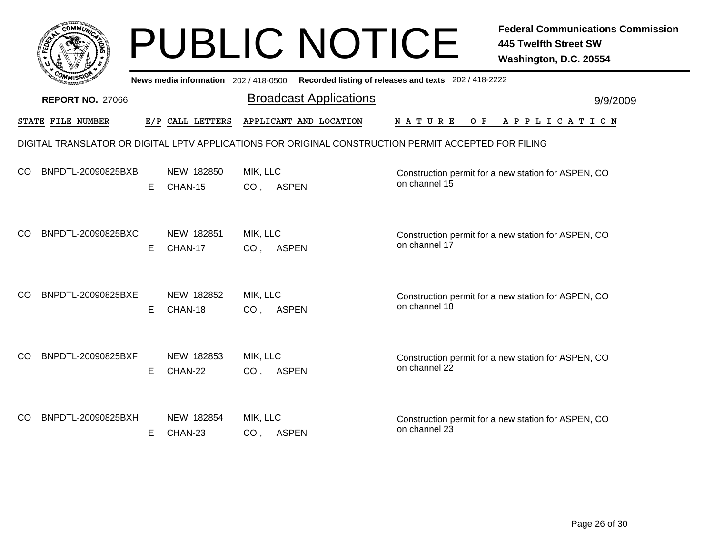|     |                         |    |                                       | <b>PUBLIC NOTICE</b>                                                                                 |                                                       | <b>Federal Communications Commission</b><br><b>445 Twelfth Street SW</b><br>Washington, D.C. 20554 |
|-----|-------------------------|----|---------------------------------------|------------------------------------------------------------------------------------------------------|-------------------------------------------------------|----------------------------------------------------------------------------------------------------|
|     |                         |    | News media information 202 / 418-0500 |                                                                                                      | Recorded listing of releases and texts 202 / 418-2222 |                                                                                                    |
|     | <b>REPORT NO. 27066</b> |    |                                       | <b>Broadcast Applications</b>                                                                        |                                                       | 9/9/2009                                                                                           |
|     | STATE FILE NUMBER       |    | E/P CALL LETTERS                      | APPLICANT AND LOCATION                                                                               | N A T U R E<br>O F                                    | A P P L I C A T I O N                                                                              |
|     |                         |    |                                       | DIGITAL TRANSLATOR OR DIGITAL LPTV APPLICATIONS FOR ORIGINAL CONSTRUCTION PERMIT ACCEPTED FOR FILING |                                                       |                                                                                                    |
| CO  | BNPDTL-20090825BXB      | E. | NEW 182850<br>CHAN-15                 | MIK, LLC<br>CO, ASPEN                                                                                | on channel 15                                         | Construction permit for a new station for ASPEN, CO                                                |
| CO  | BNPDTL-20090825BXC      | Е  | NEW 182851<br>CHAN-17                 | MIK, LLC<br>CO, ASPEN                                                                                | on channel 17                                         | Construction permit for a new station for ASPEN, CO                                                |
| CO. | BNPDTL-20090825BXE      | Е  | NEW 182852<br>CHAN-18                 | MIK, LLC<br><b>ASPEN</b><br>CO <sub>1</sub>                                                          | on channel 18                                         | Construction permit for a new station for ASPEN, CO                                                |
| CO. | BNPDTL-20090825BXF      | E. | NEW 182853<br>CHAN-22                 | MIK, LLC<br>CO, ASPEN                                                                                | on channel 22                                         | Construction permit for a new station for ASPEN, CO                                                |
| CO  | BNPDTL-20090825BXH      | Е  | NEW 182854<br>CHAN-23                 | MIK, LLC<br>CO, ASPEN                                                                                | on channel 23                                         | Construction permit for a new station for ASPEN, CO                                                |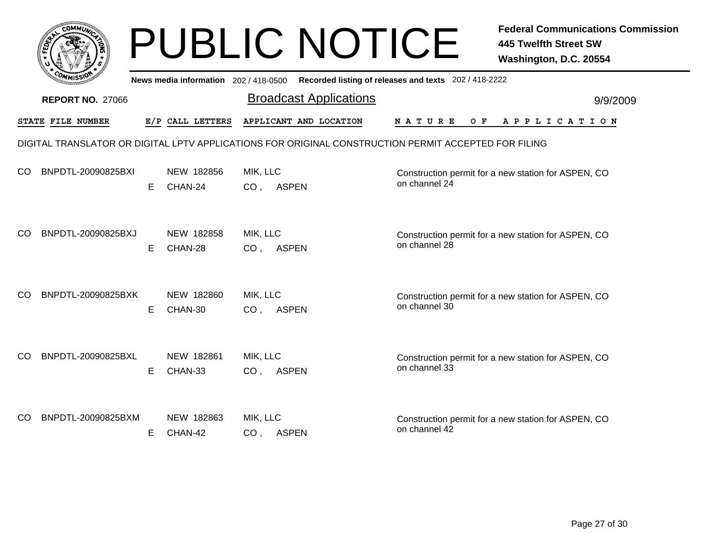|           |                         |    |                                       | <b>PUBLIC NOTICE</b>                                                                                 |                                                       | <b>Federal Communications Commission</b><br><b>445 Twelfth Street SW</b><br>Washington, D.C. 20554 |
|-----------|-------------------------|----|---------------------------------------|------------------------------------------------------------------------------------------------------|-------------------------------------------------------|----------------------------------------------------------------------------------------------------|
|           |                         |    | News media information 202 / 418-0500 |                                                                                                      | Recorded listing of releases and texts 202 / 418-2222 |                                                                                                    |
|           | <b>REPORT NO. 27066</b> |    |                                       | <b>Broadcast Applications</b>                                                                        |                                                       | 9/9/2009                                                                                           |
|           | STATE FILE NUMBER       |    | E/P CALL LETTERS                      | APPLICANT AND LOCATION                                                                               | N A T U R E<br>O F                                    | A P P L I C A T I O N                                                                              |
|           |                         |    |                                       | DIGITAL TRANSLATOR OR DIGITAL LPTV APPLICATIONS FOR ORIGINAL CONSTRUCTION PERMIT ACCEPTED FOR FILING |                                                       |                                                                                                    |
| CO        | BNPDTL-20090825BXI      | E. | NEW 182856<br>CHAN-24                 | MIK, LLC<br>CO, ASPEN                                                                                | on channel 24                                         | Construction permit for a new station for ASPEN, CO                                                |
| <b>CO</b> | BNPDTL-20090825BXJ      | Е  | NEW 182858<br>CHAN-28                 | MIK, LLC<br>CO, ASPEN                                                                                | on channel 28                                         | Construction permit for a new station for ASPEN, CO                                                |
| CO.       | BNPDTL-20090825BXK      | Е  | NEW 182860<br>CHAN-30                 | MIK, LLC<br><b>ASPEN</b><br>CO <sub>1</sub>                                                          | on channel 30                                         | Construction permit for a new station for ASPEN, CO                                                |
| CO        | BNPDTL-20090825BXL      | E. | NEW 182861<br>CHAN-33                 | MIK, LLC<br>CO, ASPEN                                                                                | on channel 33                                         | Construction permit for a new station for ASPEN, CO                                                |
| CO        | BNPDTL-20090825BXM      | Е  | NEW 182863<br>CHAN-42                 | MIK, LLC<br>CO, ASPEN                                                                                | on channel 42                                         | Construction permit for a new station for ASPEN, CO                                                |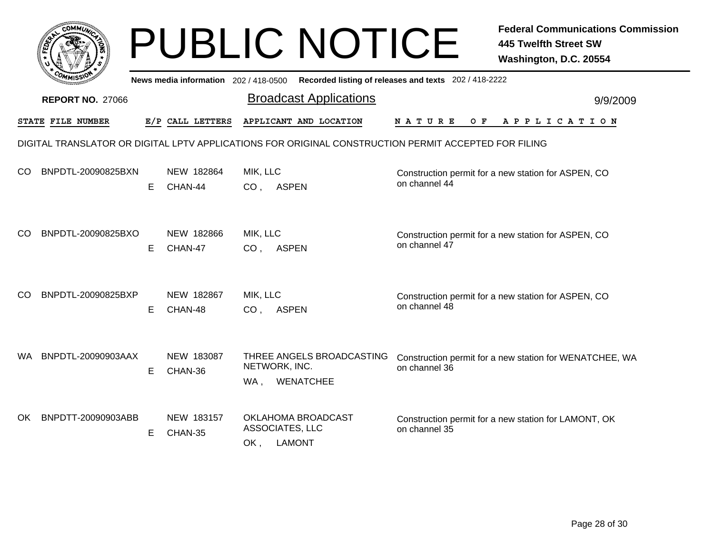|     |                         |   |                                       | <b>PUBLIC NOTICE</b>                                                                                 |                                                       | <b>Federal Communications Commission</b><br><b>445 Twelfth Street SW</b><br>Washington, D.C. 20554 |
|-----|-------------------------|---|---------------------------------------|------------------------------------------------------------------------------------------------------|-------------------------------------------------------|----------------------------------------------------------------------------------------------------|
|     |                         |   | News media information 202 / 418-0500 |                                                                                                      | Recorded listing of releases and texts 202 / 418-2222 |                                                                                                    |
|     | <b>REPORT NO. 27066</b> |   |                                       | <b>Broadcast Applications</b>                                                                        |                                                       | 9/9/2009                                                                                           |
|     | STATE FILE NUMBER       |   | E/P CALL LETTERS                      | APPLICANT AND LOCATION                                                                               | O F<br>N A T U R E                                    | APPLICATION                                                                                        |
|     |                         |   |                                       | DIGITAL TRANSLATOR OR DIGITAL LPTV APPLICATIONS FOR ORIGINAL CONSTRUCTION PERMIT ACCEPTED FOR FILING |                                                       |                                                                                                    |
| CO. | BNPDTL-20090825BXN      | Е | NEW 182864<br>CHAN-44                 | MIK, LLC<br>CO, ASPEN                                                                                | on channel 44                                         | Construction permit for a new station for ASPEN, CO                                                |
| CO. | BNPDTL-20090825BXO      | E | NEW 182866<br>CHAN-47                 | MIK, LLC<br><b>ASPEN</b><br>CO <sub>1</sub>                                                          | on channel 47                                         | Construction permit for a new station for ASPEN, CO                                                |
| CO. | BNPDTL-20090825BXP      | Е | NEW 182867<br>CHAN-48                 | MIK, LLC<br><b>ASPEN</b><br>CO <sub>1</sub>                                                          | on channel 48                                         | Construction permit for a new station for ASPEN, CO                                                |
| WA. | BNPDTL-20090903AAX      | E | NEW 183087<br>CHAN-36                 | THREE ANGELS BROADCASTING<br>NETWORK, INC.<br><b>WENATCHEE</b><br>WA,                                | on channel 36                                         | Construction permit for a new station for WENATCHEE, WA                                            |
| OK  | BNPDTT-20090903ABB      | Е | NEW 183157<br>CHAN-35                 | OKLAHOMA BROADCAST<br>ASSOCIATES, LLC<br><b>LAMONT</b><br>OK,                                        | on channel 35                                         | Construction permit for a new station for LAMONT, OK                                               |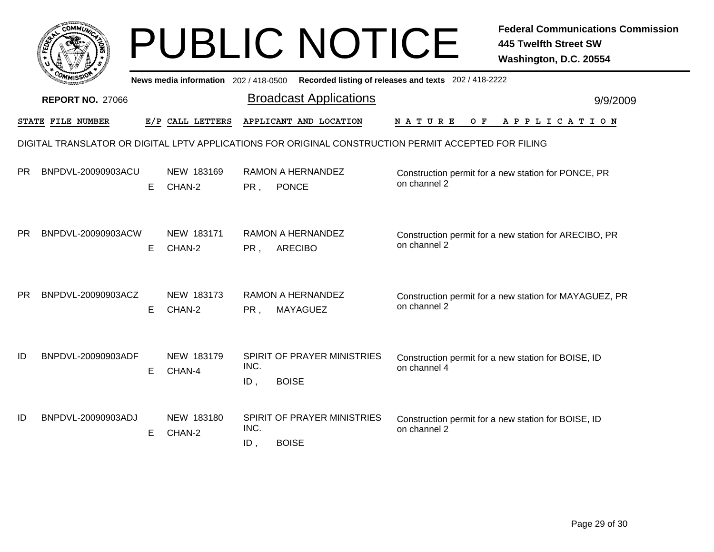|           | <b>COMMUT</b>           |    |                                     |                | <b>PUBLIC NOTICE</b>                                                                                 |                                                       | <b>Federal Communications Commission</b><br><b>445 Twelfth Street SW</b><br>Washington, D.C. 20554 |
|-----------|-------------------------|----|-------------------------------------|----------------|------------------------------------------------------------------------------------------------------|-------------------------------------------------------|----------------------------------------------------------------------------------------------------|
|           |                         |    | News media information 202/418-0500 |                |                                                                                                      | Recorded listing of releases and texts 202 / 418-2222 |                                                                                                    |
|           | <b>REPORT NO. 27066</b> |    |                                     |                | <b>Broadcast Applications</b>                                                                        |                                                       | 9/9/2009                                                                                           |
|           | STATE FILE NUMBER       |    | E/P CALL LETTERS                    |                | APPLICANT AND LOCATION                                                                               | <b>NATURE</b><br>O F                                  | A P P L I C A T I O N                                                                              |
|           |                         |    |                                     |                | DIGITAL TRANSLATOR OR DIGITAL LPTV APPLICATIONS FOR ORIGINAL CONSTRUCTION PERMIT ACCEPTED FOR FILING |                                                       |                                                                                                    |
| <b>PR</b> | BNPDVL-20090903ACU      | E. | NEW 183169<br>CHAN-2                | PR,            | <b>RAMON A HERNANDEZ</b><br><b>PONCE</b>                                                             | on channel 2                                          | Construction permit for a new station for PONCE, PR                                                |
| PR        | BNPDVL-20090903ACW      | E  | NEW 183171<br>CHAN-2                | PR,            | RAMON A HERNANDEZ<br><b>ARECIBO</b>                                                                  | on channel 2                                          | Construction permit for a new station for ARECIBO, PR                                              |
| <b>PR</b> | BNPDVL-20090903ACZ      | E. | NEW 183173<br>CHAN-2                | PR.            | RAMON A HERNANDEZ<br>MAYAGUEZ                                                                        | on channel 2                                          | Construction permit for a new station for MAYAGUEZ, PR                                             |
| ID        | BNPDVL-20090903ADF      | Е  | NEW 183179<br>CHAN-4                | INC.<br>$ID$ , | SPIRIT OF PRAYER MINISTRIES<br><b>BOISE</b>                                                          | on channel 4                                          | Construction permit for a new station for BOISE, ID                                                |
| ID        | BNPDVL-20090903ADJ      | E  | NEW 183180<br>CHAN-2                | INC.<br>ID,    | SPIRIT OF PRAYER MINISTRIES<br><b>BOISE</b>                                                          | on channel 2                                          | Construction permit for a new station for BOISE, ID                                                |